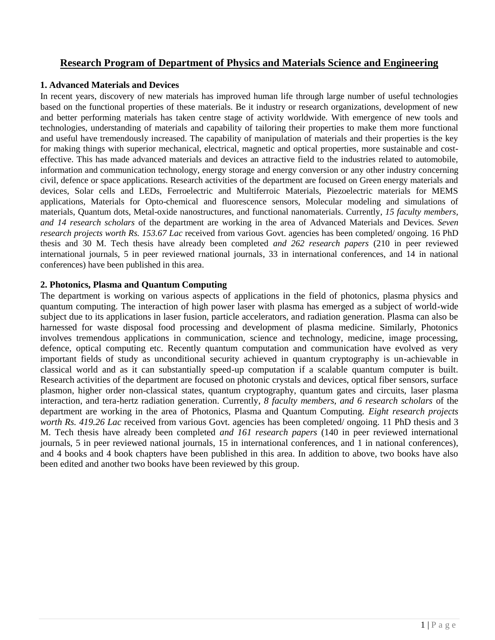### **Research Program of Department of Physics and Materials Science and Engineering**

### **1. Advanced Materials and Devices**

In recent years, discovery of new materials has improved human life through large number of useful technologies based on the functional properties of these materials. Be it industry or research organizations, development of new and better performing materials has taken centre stage of activity worldwide. With emergence of new tools and technologies, understanding of materials and capability of tailoring their properties to make them more functional and useful have tremendously increased. The capability of manipulation of materials and their properties is the key for making things with superior mechanical, electrical, magnetic and optical properties, more sustainable and costeffective. This has made advanced materials and devices an attractive field to the industries related to automobile, information and communication technology, energy storage and energy conversion or any other industry concerning civil, defence or space applications. Research activities of the department are focused on Green energy materials and devices, Solar cells and LEDs, Ferroelectric and Multiferroic Materials, Piezoelectric materials for MEMS applications, Materials for Opto-chemical and fluorescence sensors, Molecular modeling and simulations of materials, Quantum dots, Metal-oxide nanostructures, and functional nanomaterials. Currently, *15 faculty members, and 14 research scholars* of the department are working in the area of Advanced Materials and Devices. *Seven research projects worth Rs. 153.67 Lac* received from various Govt. agencies has been completed/ ongoing. 16 PhD thesis and 30 M. Tech thesis have already been completed *and 262 research papers* (210 in peer reviewed international journals, 5 in peer reviewed rnational journals, 33 in international conferences, and 14 in national conferences) have been published in this area.

### **2. Photonics, Plasma and Quantum Computing**

The department is working on various aspects of applications in the field of photonics, plasma physics and quantum computing. The interaction of high power laser with plasma has emerged as a subject of world-wide subject due to its applications in laser fusion, particle accelerators, and radiation generation. Plasma can also be harnessed for waste disposal food processing and development of plasma medicine. Similarly, Photonics involves tremendous applications in communication, science and technology, medicine, image processing, defence, optical computing etc. Recently quantum computation and communication have evolved as very important fields of study as unconditional security achieved in quantum cryptography is un-achievable in classical world and as it can substantially speed-up computation if a scalable quantum computer is built. Research activities of the department are focused on photonic crystals and devices, optical fiber sensors, surface plasmon, higher order non-classical states, quantum cryptography, quantum gates and circuits, laser plasma interaction, and tera-hertz radiation generation. Currently*, 8 faculty members, and 6 research scholars* of the department are working in the area of Photonics, Plasma and Quantum Computing. *Eight research projects worth Rs. 419.26 Lac* received from various Govt. agencies has been completed/ ongoing. 11 PhD thesis and 3 M. Tech thesis have already been completed *and 161 research papers* (140 in peer reviewed international journals, 5 in peer reviewed national journals, 15 in international conferences, and 1 in national conferences), and 4 books and 4 book chapters have been published in this area. In addition to above, two books have also been edited and another two books have been reviewed by this group.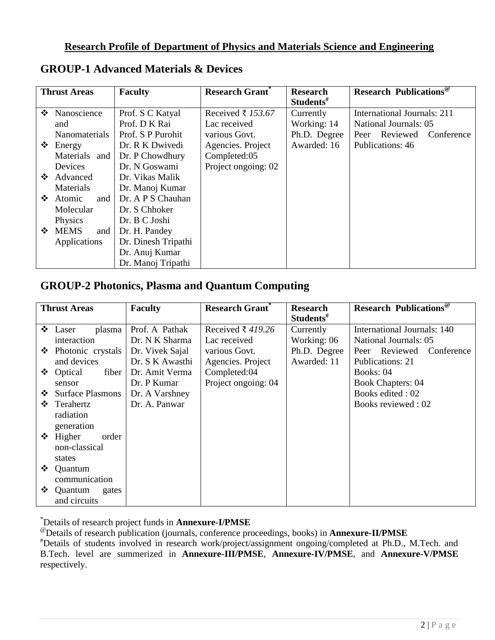### **Research Profile of Department of Physics and Materials Science and Engineering**

|   | <b>Thrust Areas</b>  | <b>Faculty</b>      | <b>Research Grant</b> * | <b>Research</b>       | <b>Research Publications</b> <sup>@</sup> |
|---|----------------------|---------------------|-------------------------|-----------------------|-------------------------------------------|
|   |                      |                     |                         | Students <sup>#</sup> |                                           |
| ❖ | Nanoscience          | Prof. S C Katyal    | Received ₹ 153.67       | Currently             | <b>International Journals: 211</b>        |
|   | and                  | Prof. D K Rai       | Lac received            | Working: 14           | National Journals: 05                     |
|   | Nanomaterials        | Prof. S P Purohit   | various Govt.           | Ph.D. Degree          | Peer Reviewed<br>Conference               |
|   | $\div$ Energy        | Dr. R K Dwivedi     | Agencies. Project       | Awarded: 16           | Publications: 46                          |
|   | Materials and        | Dr. P Chowdhury     | Completed:05            |                       |                                           |
|   | Devices              | Dr. N Goswami       | Project ongoing: 02     |                       |                                           |
| ❖ | Advanced             | Dr. Vikas Malik     |                         |                       |                                           |
|   | Materials            | Dr. Manoj Kumar     |                         |                       |                                           |
|   | $\div$ Atomic<br>and | Dr. A P S Chauhan   |                         |                       |                                           |
|   | Molecular            | Dr. S Chhoker       |                         |                       |                                           |
|   | Physics              | Dr. B C Joshi       |                         |                       |                                           |
|   | ❖ MEMS<br>and        | Dr. H. Pandey       |                         |                       |                                           |
|   | Applications         | Dr. Dinesh Tripathi |                         |                       |                                           |
|   |                      | Dr. Anuj Kumar      |                         |                       |                                           |
|   |                      | Dr. Manoj Tripathi  |                         |                       |                                           |

## **GROUP-1 Advanced Materials & Devices**

## **GROUP-2 Photonics, Plasma and Quantum Computing**

|   | <b>Thrust Areas</b>    | <b>Faculty</b>  | <b>Research Grant</b> ® | <b>Research</b>       | <b>Research Publications</b> <sup>®</sup> |
|---|------------------------|-----------------|-------------------------|-----------------------|-------------------------------------------|
|   |                        |                 |                         | Students <sup>#</sup> |                                           |
|   | $\div$ Laser<br>plasma | Prof. A Pathak  | Received ₹ 419.26       | Currently             | International Journals: 140               |
|   | interaction            | Dr. N K Sharma  | Lac received            | Working: 06           | National Journals: 05                     |
| ❖ | Photonic crystals      | Dr. Vivek Sajal | various Govt.           | Ph.D. Degree          | Peer Reviewed<br>Conference               |
|   | and devices            | Dr. S K Awasthi | Agencies. Project       | Awarded: 11           | Publications: 21                          |
|   | ❖ Optical<br>fiber     | Dr. Amit Verma  | Completed:04            |                       | Books: 04                                 |
|   | sensor                 | Dr. P Kumar     | Project ongoing: 04     |                       | <b>Book Chapters: 04</b>                  |
|   | ❖ Surface Plasmons     | Dr. A Varshney  |                         |                       | Books edited: 02                          |
| ❖ | Terahertz              | Dr. A. Panwar   |                         |                       | Books reviewed: 02                        |
|   | radiation              |                 |                         |                       |                                           |
|   | generation             |                 |                         |                       |                                           |
|   | $\div$ Higher<br>order |                 |                         |                       |                                           |
|   | non-classical          |                 |                         |                       |                                           |
|   | states                 |                 |                         |                       |                                           |
| ❖ | Quantum                |                 |                         |                       |                                           |
|   | communication          |                 |                         |                       |                                           |
| ❖ | Quantum<br>gates       |                 |                         |                       |                                           |
|   | and circuits           |                 |                         |                       |                                           |

\*Details of research project funds in **Annexure-I/PMSE**

@Details of research publication (journals, conference proceedings, books) in **Annexure-II/PMSE**

#Details of students involved in research work/project/assignment ongoing/completed at Ph.D., M.Tech. and B.Tech. level are summerized in **Annexure-III/PMSE**, **Annexure-IV/PMSE**, and **Annexure-V/PMSE** respectively.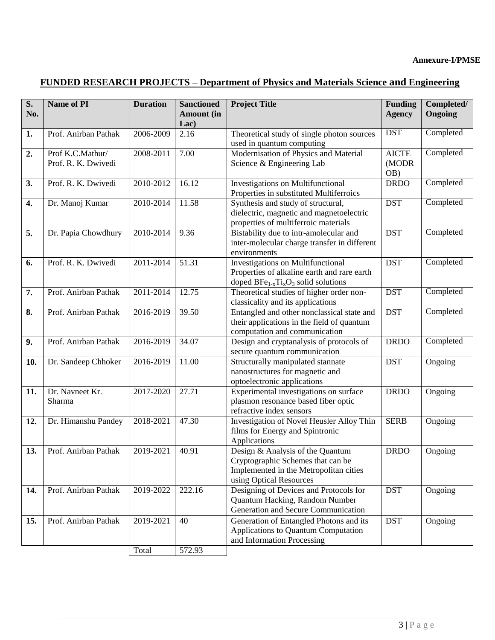# **FUNDED RESEARCH PROJECTS – Department of Physics and Materials Science and Engineering**

| S.  | Name of PI                              | <b>Duration</b> | <b>Sanctioned</b> | <b>Project Title</b>                                                                                                                       | <b>Funding</b>               | Completed/ |
|-----|-----------------------------------------|-----------------|-------------------|--------------------------------------------------------------------------------------------------------------------------------------------|------------------------------|------------|
| No. |                                         |                 | <b>Amount</b> (in |                                                                                                                                            | <b>Agency</b>                | Ongoing    |
|     |                                         |                 | Lac)              |                                                                                                                                            |                              |            |
| 1.  | Prof. Anirban Pathak                    | 2006-2009       | 2.16              | Theoretical study of single photon sources<br>used in quantum computing                                                                    | <b>DST</b>                   | Completed  |
| 2.  | Prof K.C.Mathur/<br>Prof. R. K. Dwivedi | 2008-2011       | 7.00              | Modernisation of Physics and Material<br>Science & Engineering Lab                                                                         | <b>AICTE</b><br>(MODR<br>OB) | Completed  |
| 3.  | Prof. R. K. Dwivedi                     | 2010-2012       | 16.12             | Investigations on Multifunctional<br>Properties in substituted Multiferroics                                                               | <b>DRDO</b>                  | Completed  |
| 4.  | Dr. Manoj Kumar                         | 2010-2014       | 11.58             | Synthesis and study of structural,<br>dielectric, magnetic and magnetoelectric<br>properties of multiferroic materials                     | <b>DST</b>                   | Completed  |
| 5.  | Dr. Papia Chowdhury                     | 2010-2014       | 9.36              | Bistability due to intr-amolecular and<br>inter-molecular charge transfer in different<br>environments                                     | <b>DST</b>                   | Completed  |
| 6.  | Prof. R. K. Dwivedi                     | 2011-2014       | 51.31             | <b>Investigations on Multifunctional</b><br>Properties of alkaline earth and rare earth<br>doped $BFe_{1-x}Ti_xO_3$ solid solutions        | <b>DST</b>                   | Completed  |
| 7.  | Prof. Anirban Pathak                    | 2011-2014       | 12.75             | Theoretical studies of higher order non-<br>classicality and its applications                                                              | <b>DST</b>                   | Completed  |
| 8.  | Prof. Anirban Pathak                    | 2016-2019       | 39.50             | Entangled and other nonclassical state and<br>their applications in the field of quantum<br>computation and communication                  | <b>DST</b>                   | Completed  |
| 9.  | Prof. Anirban Pathak                    | 2016-2019       | 34.07             | Design and cryptanalysis of protocols of<br>secure quantum communication                                                                   | <b>DRDO</b>                  | Completed  |
| 10. | Dr. Sandeep Chhoker                     | 2016-2019       | 11.00             | Structurally manipulated stannate<br>nanostructures for magnetic and<br>optoelectronic applications                                        | <b>DST</b>                   | Ongoing    |
| 11. | Dr. Navneet Kr.<br>Sharma               | 2017-2020       | 27.71             | Experimental investigations on surface<br>plasmon resonance based fiber optic<br>refractive index sensors                                  | <b>DRDO</b>                  | Ongoing    |
| 12. | Dr. Himanshu Pandey                     | 2018-2021       | 47.30             | Investigation of Novel Heusler Alloy Thin<br>films for Energy and Spintronic<br>Applications                                               | <b>SERB</b>                  | Ongoing    |
| 13. | Prof. Anirban Pathak                    | 2019-2021       | 40.91             | Design & Analysis of the Quantum<br>Cryptographic Schemes that can be<br>Implemented in the Metropolitan cities<br>using Optical Resources | <b>DRDO</b>                  | Ongoing    |
| 14. | Prof. Anirban Pathak                    | 2019-2022       | 222.16            | Designing of Devices and Protocols for<br>Quantum Hacking, Random Number<br>Generation and Secure Communication                            | <b>DST</b>                   | Ongoing    |
| 15. | Prof. Anirban Pathak                    | 2019-2021       | 40                | Generation of Entangled Photons and its<br>Applications to Quantum Computation<br>and Information Processing                               | <b>DST</b>                   | Ongoing    |
|     |                                         | Total           | 572.93            |                                                                                                                                            |                              |            |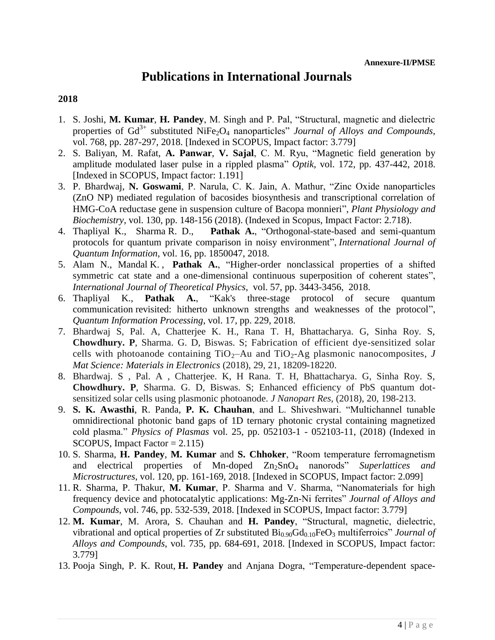## **Publications in International Journals**

- 1. S. Joshi, **M. Kumar**, **H. Pandey**, M. Singh and P. Pal, "Structural, magnetic and dielectric properties of  $Gd^{3+}$  substituted NiFe<sub>2</sub>O<sub>4</sub> nanoparticles" *Journal of Alloys and Compounds*, vol. 768, pp. 287-297, 2018. [Indexed in SCOPUS, Impact factor: 3.779]
- 2. S. Baliyan, M. Rafat, **A. Panwar**, **V. Sajal**, C. M. Ryu, ["Magnetic field generation by](javascript:void(0))  [amplitude modulated laser pulse in a rippled plasma"](javascript:void(0)) *Optik*, vol. 172, pp. 437-442, 2018. [Indexed in SCOPUS, Impact factor: 1.191]
- 3. P. Bhardwaj, **N. Goswami**, P. Narula, C. K. Jain, A. Mathur, "Zinc Oxide nanoparticles (ZnO NP) mediated regulation of bacosides biosynthesis and transcriptional correlation of HMG-CoA reductase gene in suspension culture of Bacopa monnieri", *Plant Physiology and Biochemistry*, vol. 130, pp. 148-156 (2018). (Indexed in Scopus, Impact Factor: 2.718).
- 4. Thapliyal K., Sharma R. D., **Pathak A.**, "Orthogonal-state-based and semi-quantum protocols for quantum private comparison in noisy environment", *International Journal of Quantum Information*, vol. 16, pp. 1850047, 2018.
- 5. Alam N., Mandal K. , **Pathak A.**, "Higher-order nonclassical properties of a shifted symmetric cat state and a one-dimensional continuous superposition of coherent states", *International Journal of Theoretical Physics*, vol. 57, pp. 3443-3456, 2018.
- 6. Thapliyal K., **Pathak A.**, "Kak's three-stage protocol of secure quantum communication revisited: hitherto unknown strengths and weaknesses of the protocol", *Quantum Information Processing*, vol. 17, pp. 229, 2018.
- 7. Bhardwaj S, Pal. A, Chatterjee K. H., Rana T. H, Bhattacharya. G, Sinha Roy. S, **Chowdhury. P**, Sharma. G. D, Biswas. S; Fabrication of efficient dye-sensitized solar cells with photoanode containing  $TiO<sub>2</sub>$ –Au and  $TiO<sub>2</sub>$ –Ag plasmonic nanocomposites, *J Mat Science: Materials in Electronics* (2018), 29, 21, 18209-18220.
- 8. Bhardwaj. S , Pal. A , Chatterjee. K, H Rana. T. H, Bhattacharya. G, Sinha Roy. S, **Chowdhury. P**, Sharma. G. D, Biswas. S; Enhanced efficiency of PbS quantum dotsensitized solar cells using plasmonic photoanode. *J Nanopart Res,* (2018), 20, 198-213.
- 9. **S. K. Awasthi**, R. Panda, **P. K. Chauhan**, and L. Shiveshwari. "Multichannel tunable omnidirectional photonic band gaps of 1D ternary photonic crystal containing magnetized cold plasma." *Physics of Plasmas* vol. 25, pp. 052103-1 - 052103-11, (2018) (Indexed in SCOPUS, Impact Factor  $= 2.115$ )
- 10. S. Sharma, **H. Pandey**, **M. Kumar** and **S. Chhoker**, "Room temperature ferromagnetism and electrical properties of Mn-doped  $Zn_2SnO_4$  nanorods" *Superlattices and Microstructures*, vol. 120, pp. 161-169, 2018. [Indexed in SCOPUS, Impact factor: 2.099]
- 11. R. Sharma, P. Thakur, **M. Kumar**, P. Sharma and V. Sharma, "Nanomaterials for high frequency device and photocatalytic applications: Mg-Zn-Ni ferrites" *Journal of Alloys and Compounds*, vol. 746, pp. 532-539, 2018. [Indexed in SCOPUS, Impact factor: 3.779]
- 12. **M. Kumar**, M. Arora, S. Chauhan and **H. Pandey**, "Structural, magnetic, dielectric, vibrational and optical properties of Zr substituted  $Bi_{0.90}Gd_{0.10}FeO_3$  multiferroics" *Journal of Alloys and Compounds*, vol. 735, pp. 684-691, 2018. [Indexed in SCOPUS, Impact factor: 3.779]
- 13. Pooja Singh, P. K. Rout, **H. Pandey** and Anjana Dogra, "Temperature-dependent space-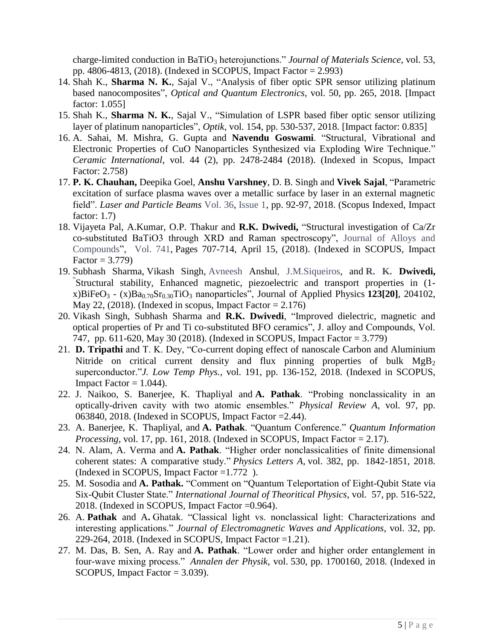charge-limited conduction in BaTiO<sub>3</sub> heterojunctions." *Journal of Materials Science*, vol. 53, pp. 4806-4813, (2018). (Indexed in SCOPUS, Impact Factor = 2.993)

- 14. Shah K., **Sharma N. K.**, Sajal V., "Analysis of fiber optic SPR sensor utilizing platinum based nanocomposites", *Optical and Quantum Electronics*, vol. 50, pp. 265, 2018. [Impact factor: 1.055]
- 15. Shah K., **Sharma N. K.**, Sajal V., "Simulation of LSPR based fiber optic sensor utilizing layer of platinum nanoparticles", *Optik*, vol. 154, pp. 530-537, 2018. [Impact factor: 0.835]
- 16. A. Sahai, M. Mishra, G. Gupta and **Navendu Goswami**. "Structural, Vibrational and Electronic Properties of CuO Nanoparticles Synthesized via Exploding Wire Technique." *Ceramic International*, vol. 44 (2), pp. 2478-2484 (2018). (Indexed in Scopus, Impact Factor: 2.758)
- 17. **P. K. Chauhan,** Deepika Goel, **Anshu Varshney**, D. B. Singh and **Vivek Sajal**, "Parametric excitation of surface plasma waves over a metallic surface by laser in an external magnetic field". *Laser and Particle Beams* [Vol.](https://www.cambridge.org/core/journals/laser-and-particle-beams/volume/F19B8EFB26C3BD9130D983492054D100) 36, [Issue](https://www.cambridge.org/core/journals/laser-and-particle-beams/issue/4CFBC85C037FD9F22EE01115D50FED9A) 1, pp. 92-97, 2018. (Scopus Indexed, Impact factor: 1.7)
- 18. Vijayeta Pal, A.Kumar, O.P. Thakur and **R.K. Dwivedi,** "Structural investigation of Ca/Zr co-substituted BaTiO3 through XRD and Raman spectroscopy", [Journal of Alloys and](https://www.sciencedirect.com/science/journal/09258388)  [Compounds"](https://www.sciencedirect.com/science/journal/09258388), [Vol. 741,](https://www.sciencedirect.com/science/journal/09258388/741/supp/C) Pages 707-714, April 15, (2018). (Indexed in SCOPUS, Impact Factor =  $3.779$ )
- 19. Subhash Sharma, Vikash Singh, [Avneesh](https://aip.scitation.org/author/Anshul%2C+Avneesh) Anshu[l, J.M.Siqueiros,](https://aip.scitation.org/author/Siqueiros%2C+J+M) and **R. K. [Dwivedi,](https://aip.scitation.org/author/Dwivedi%2C+R+K)** " Structural stability, Enhanced magnetic, piezoelectric and transport properties in (1 x)BiFeO<sub>3</sub> - (x)Ba<sub>0.70</sub>Sr<sub>0.30</sub>TiO<sub>3</sub> nanoparticles", Journal of Applied Physics 123[20], 204102, May 22,  $(2018)$ . (Indexed in scopus, Impact Factor = 2.176)
- 20. Vikash Singh, Subhash Sharma and **R.K. Dwivedi**, "Improved dielectric, magnetic and optical properties of Pr and Ti co-substituted BFO ceramics", J. alloy and Compounds, Vol. 747, pp. 611-620, May 30 (2018). (Indexed in SCOPUS, Impact Factor = 3.779)
- 21. **D. Tripathi** and T. K. Dey, "Co-current doping effect of nanoscale Carbon and Aluminium Nitride on critical current density and flux pinning properties of bulk MgB<sub>2</sub> superconductor."*J. Low Temp Phys.,* vol. 191, pp. 136-152, 2018. (Indexed in SCOPUS, Impact Factor  $= 1.044$ ).
- 22. J. Naikoo, S. Banerjee, K. Thapliyal and **A. Pathak**. "Probing nonclassicality in an optically-driven cavity with two atomic ensembles." *Physical Review A,* vol. 97, pp. 063840, 2018. (Indexed in SCOPUS, Impact Factor =2.44).
- 23. A. Banerjee, K. Thapliyal, and **A. Pathak**. "Quantum Conference." *Quantum Information Processing,* vol. 17, pp. 161, 2018. (Indexed in SCOPUS, Impact Factor  $= 2.17$ ).
- 24. N. Alam, A. Verma and **A. Pathak**. "Higher order nonclassicalities of finite dimensional coherent states: A comparative study." *Physics Letters A,* vol. 382, pp. 1842-1851, 2018. (Indexed in SCOPUS, Impact Factor =1.772 ).
- 25. M. Sosodia and **A. Pathak.** "Comment on "Quantum Teleportation of Eight-Qubit State via Six-Qubit Cluster State." *International Journal of Theoritical Physics,* vol. 57, pp. 516-522, 2018. (Indexed in SCOPUS, Impact Factor =0.964).
- 26. A. **Pathak** and A**.** Ghatak. "Classical light vs. nonclassical light: Characterizations and interesting applications." *Journal of Electromagnetic Waves and Applications,* vol. 32, pp. 229-264, 2018. (Indexed in SCOPUS, Impact Factor =1.21).
- 27. M. Das, B. Sen, A. Ray and **A. Pathak**. "Lower order and higher order entanglement in four-wave mixing process." *Annalen der Physik*, vol. 530, pp. 1700160, 2018. (Indexed in SCOPUS, Impact Factor = 3.039).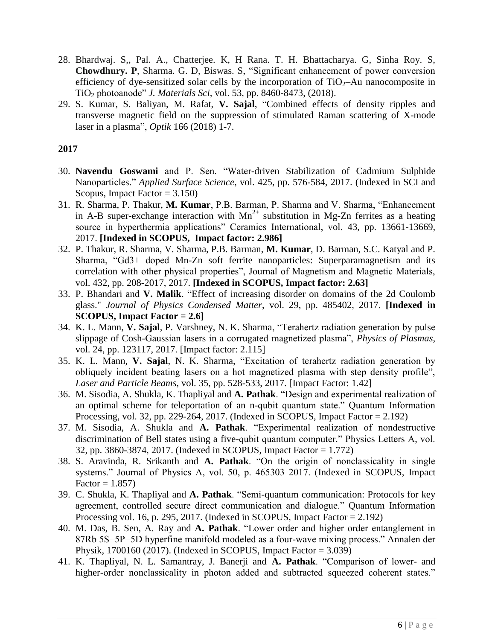- 28. Bhardwaj. S,, Pal. A., Chatterjee. K, H Rana. T. H. Bhattacharya. G, Sinha Roy. S, **Chowdhury. P**, Sharma. G. D, Biswas. S, "Significant enhancement of power conversion efficiency of dye-sensitized solar cells by the incorporation of  $TiO<sub>2</sub>–Au$  nanocomposite in TiO<sup>2</sup> photoanode" *J. Materials Sci,* vol. 53, pp. 8460-8473, (2018).
- 29. S. Kumar, S. Baliyan, M. Rafat, **V. Sajal**, ["Combined effects of density ripples and](javascript:void(0))  [transverse magnetic field on the suppression of stimulated Raman scattering of X-mode](javascript:void(0))  [laser in a plasma"](javascript:void(0)), *Optik* 166 (2018) 1-7.

- 30. **Navendu Goswami** and P. Sen. "Water-driven Stabilization of Cadmium Sulphide Nanoparticles." *Applied Surface Science*, vol. 425, pp. 576-584, 2017. (Indexed in SCI and Scopus, Impact Factor  $= 3.150$ )
- 31. R. Sharma, P. Thakur, **M. Kumar**, P.B. Barman, P. Sharma and V. Sharma, "Enhancement in A-B super-exchange interaction with  $Mn^{2+}$  substitution in Mg-Zn ferrites as a heating source in hyperthermia applications" Ceramics International, vol. 43, pp. 13661-13669, 2017. **[Indexed in SCOPUS, Impact factor: 2.986]**
- 32. P. Thakur, R. Sharma, V. Sharma, P.B. Barman, **M. Kumar**, D. Barman, S.C. Katyal and P. Sharma, "Gd3+ doped Mn-Zn soft ferrite nanoparticles: Superparamagnetism and its correlation with other physical properties", Journal of Magnetism and Magnetic Materials, vol. 432, pp. 208-2017, 2017. **[Indexed in SCOPUS, Impact factor: 2.63]**
- 33. P. Bhandari and **V. Malik**. "Effect of increasing disorder on domains of the 2d Coulomb glass." *Journal of Physics Condensed Matter*, vol. 29, pp. 485402, 2017. **[Indexed in SCOPUS, Impact Factor = 2.6]**
- 34. K. L. Mann, **V. Sajal**, P. Varshney, N. K. Sharma, "Terahertz radiation generation by pulse slippage of Cosh-Gaussian lasers in a corrugated magnetized plasma", *Physics of Plasmas*, vol. 24, pp. 123117, 2017. [Impact factor: 2.115]
- 35. K. L. Mann, **V. Sajal**, N. K. Sharma, "Excitation of terahertz radiation generation by obliquely incident beating lasers on a hot magnetized plasma with step density profile", *Laser and Particle Beams*, vol. 35, pp. 528-533, 2017. [Impact Factor: 1.42]
- 36. M. Sisodia, A. Shukla, K. Thapliyal and **A. Pathak**. "Design and experimental realization of an optimal scheme for teleportation of an n-qubit quantum state." Quantum Information Processing, vol. 32, pp. 229-264, 2017. (Indexed in SCOPUS, Impact Factor = 2.192)
- 37. M. Sisodia, A. Shukla and **A. Pathak**. "Experimental realization of nondestructive discrimination of Bell states using a five-qubit quantum computer." Physics Letters A, vol. 32, pp. 3860-3874, 2017. (Indexed in SCOPUS, Impact Factor = 1.772)
- 38. S. Aravinda, R. Srikanth and **A. Pathak**. "On the origin of nonclassicality in single systems." Journal of Physics A, vol. 50, p. 465303 2017. (Indexed in SCOPUS, Impact  $Factor = 1.857$
- 39. C. Shukla, K. Thapliyal and **A. Pathak**. "Semi-quantum communication: Protocols for key agreement, controlled secure direct communication and dialogue." Quantum Information Processing vol. 16, p. 295, 2017. (Indexed in SCOPUS, Impact Factor  $= 2.192$ )
- 40. M. Das, B. Sen, A. Ray and **A. Pathak**. "Lower order and higher order entanglement in 87Rb 5S−5P−5D hyperfine manifold modeled as a four-wave mixing process." Annalen der Physik, 1700160 (2017). (Indexed in SCOPUS, Impact Factor = 3.039)
- 41. K. Thapliyal, N. L. Samantray, J. Banerji and **A. Pathak**. "Comparison of lower- and higher-order nonclassicality in photon added and subtracted squeezed coherent states."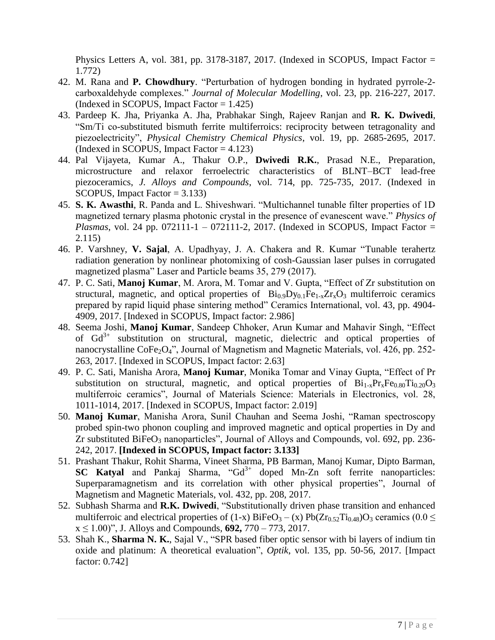Physics Letters A, vol. 381, pp. 3178-3187, 2017. (Indexed in SCOPUS, Impact Factor = 1.772)

- 42. M. Rana and **P. Chowdhury**. "Perturbation of hydrogen bonding in hydrated pyrrole-2 carboxaldehyde complexes." *Journal of Molecular Modelling*, vol. 23, pp. 216-227, 2017. (Indexed in SCOPUS, Impact Factor  $= 1.425$ )
- 43. Pardeep K. Jha, Priyanka A. Jha, Prabhakar Singh, Rajeev Ranjan and **R. K. Dwivedi**, "Sm/Ti co-substituted bismuth ferrite multiferroics: reciprocity between tetragonality and piezoelectricity", *Physical Chemistry Chemical Physics*, vol. 19, pp. 2685-2695, 2017. (Indexed in SCOPUS, Impact Factor  $= 4.123$ )
- 44. Pal Vijayeta, Kumar A., Thakur O.P., **Dwivedi R.K.**, Prasad N.E., Preparation, microstructure and relaxor ferroelectric characteristics of BLNT–BCT lead-free piezoceramics, *J. Alloys and Compounds*, vol. 714, pp. 725-735, 2017. (Indexed in SCOPUS, Impact Factor = 3.133)
- 45. **S. K. Awasthi**, R. Panda and L. Shiveshwari. "Multichannel tunable filter properties of 1D magnetized ternary plasma photonic crystal in the presence of evanescent wave." *Physics of Plasmas*, vol. 24 pp. 072111-1 – 072111-2, 2017. (Indexed in SCOPUS, Impact Factor = 2.115)
- 46. P. Varshney, **V. Sajal**, A. Upadhyay, J. A. Chakera and R. Kumar ["Tunable terahertz](javascript:void(0))  [radiation generation by nonlinear photomixing of cosh-Gaussian laser pulses in corrugated](javascript:void(0))  [magnetized plasma"](javascript:void(0)) Laser and Particle beams 35, 279 (2017).
- 47. P. C. Sati, **Manoj Kumar**, M. Arora, M. Tomar and V. Gupta, "Effect of Zr substitution on structural, magnetic, and optical properties of  $Bi_{0.9}D_{y_{0.1}}Fe_{1-x}Zr_xO_3$  multiferroic ceramics prepared by rapid liquid phase sintering method" Ceramics International, vol. 43, pp. 4904- 4909, 2017. [Indexed in SCOPUS, Impact factor: 2.986]
- 48. Seema Joshi, **Manoj Kumar**, Sandeep Chhoker, Arun Kumar and Mahavir Singh, "Effect of  $Gd^{3+}$  substitution on structural, magnetic, dielectric and optical properties of nanocrystalline CoFe<sub>2</sub>O<sub>4</sub>", Journal of Magnetism and Magnetic Materials, vol. 426, pp. 252-263, 2017. [Indexed in SCOPUS, Impact factor: 2.63]
- 49. P. C. Sati, Manisha Arora, **Manoj Kumar**, Monika Tomar and Vinay Gupta, "Effect of Pr substitution on structural, magnetic, and optical properties of  $Bi_{1-x}Pr_xFe_{0.80}Ti_{0.20}O_3$ multiferroic ceramics", Journal of Materials Science: Materials in Electronics, vol. 28, 1011-1014, 2017. [Indexed in SCOPUS, Impact factor: 2.019]
- 50. **Manoj Kumar**, Manisha Arora, Sunil Chauhan and Seema Joshi, "Raman spectroscopy probed spin-two phonon coupling and improved magnetic and optical properties in Dy and Zr substituted BiFe $O_3$  nanoparticles", Journal of Alloys and Compounds, vol. 692, pp. 236-242, 2017. **[Indexed in SCOPUS, Impact factor: 3.133]**
- 51. Prashant Thakur, Rohit Sharma, Vineet Sharma, PB Barman, Manoj Kumar, Dipto Barman, **SC Katyal** and Pankaj Sharma, "Gd<sup>3+</sup> doped Mn-Zn soft ferrite nanoparticles: [Superparamagnetism and its correlation with other physical properties"](http://www.sciencedirect.com/science/article/pii/S0304885316334230), Journal of Magnetism and Magnetic Materials, vol. 432, pp. 208, 2017.
- 52. Subhash Sharma and **R.K. Dwivedi**, "Substitutionally driven phase transition and enhanced multiferroic and electrical properties of (1-x)  $BiFeO<sub>3</sub> - (x) Pb(Zr<sub>0.52</sub>Ti<sub>0.48</sub>)O<sub>3</sub>$  ceramics (0.0  $\le$ x ≤ 1.00)", J. Alloys and Compounds, **692,** 770 – 773, 2017.
- 53. Shah K., **Sharma N. K.**, Sajal V., "SPR based fiber optic sensor with bi layers of indium tin oxide and platinum: A theoretical evaluation", *Optik*, vol. 135, pp. 50-56, 2017. [Impact factor: 0.742]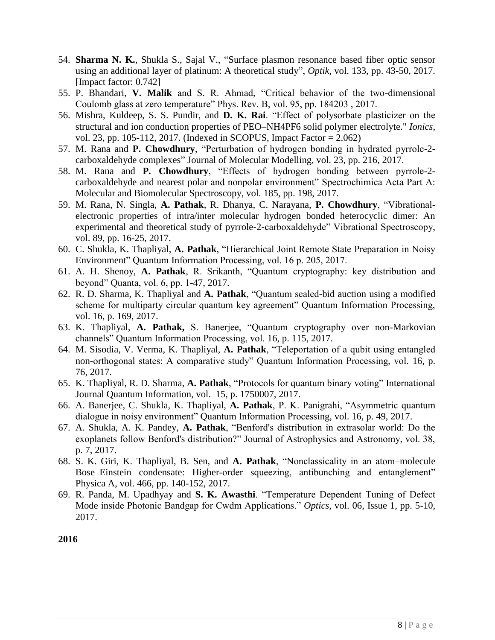- 54. **Sharma N. K.**, Shukla S., Sajal V., "Surface plasmon resonance based fiber optic sensor using an additional layer of platinum: A theoretical study", *Optik*, vol. 133, pp. 43-50, 2017. [Impact factor: 0.742]
- 55. P. Bhandari, **V. Malik** and S. R. Ahmad, "Critical behavior of the two-dimensional Coulomb glass at zero temperature" Phys. Rev. B, vol. 95, pp. 184203 , 2017.
- 56. Mishra, Kuldeep, S. S. Pundir, and **D. K. Rai**. "Effect of polysorbate plasticizer on the structural and ion conduction properties of PEO–NH4PF6 solid polymer electrolyte." *Ionics*, vol. 23, pp. 105-112, 2017. (Indexed in SCOPUS, Impact Factor = 2.062)
- 57. M. Rana and **P. Chowdhury**, "Perturbation of hydrogen bonding in hydrated pyrrole-2 carboxaldehyde complexes" Journal of Molecular Modelling, vol. 23, pp. 216, 2017.
- 58. M. Rana and **P. Chowdhury**, "Effects of hydrogen bonding between pyrrole-2 carboxaldehyde and nearest polar and nonpolar environment" Spectrochimica Acta Part A: Molecular and Biomolecular Spectroscopy, vol. 185, pp. 198, 2017.
- 59. M. Rana, N. Singla, **A. Pathak**, R. Dhanya, C. Narayana, **P. Chowdhury**, "Vibrationalelectronic properties of intra/inter molecular hydrogen bonded heterocyclic dimer: An experimental and theoretical study of pyrrole-2-carboxaldehyde" Vibrational Spectroscopy, vol. 89, pp. 16-25, 2017.
- 60. C. Shukla, K. Thapliyal, **A. Pathak**, "Hierarchical Joint Remote State Preparation in Noisy Environment" Quantum Information Processing, vol. 16 p. 205, 2017.
- 61. A. H. Shenoy, **A. Pathak**, R. Srikanth, "Quantum cryptography: key distribution and beyond" Quanta, vol. 6, pp. 1-47, 2017.
- 62. R. D. Sharma, K. Thapliyal and **A. Pathak**, "Quantum sealed-bid auction using a modified scheme for multiparty circular quantum key agreement" Quantum Information Processing, vol. 16, p. 169, 2017.
- 63. K. Thapliyal, **A. Pathak,** S. Banerjee, "Quantum cryptography over non-Markovian channels" Quantum Information Processing, vol. 16, p. 115, 2017.
- 64. M. Sisodia, V. Verma, K. Thapliyal, **A. Pathak**, "Teleportation of a qubit using entangled non-orthogonal states: A comparative study" Quantum Information Processing, vol. 16, p. 76, 2017.
- 65. K. Thapliyal, R. D. Sharma, **A. Pathak**, "Protocols for quantum binary voting" International Journal Quantum Information, vol. 15, p. 1750007, 2017.
- 66. A. Banerjee, C. Shukla, K. Thapliyal, **A. Pathak**, P. K. Panigrahi, "Asymmetric quantum dialogue in noisy environment" Quantum Information Processing, vol. 16, p. 49, 2017.
- 67. A. Shukla, A. K. Pandey, **A. Pathak**, "Benford's distribution in extrasolar world: Do the exoplanets follow Benford's distribution?" Journal of Astrophysics and Astronomy, vol. 38, p. 7, 2017.
- 68. S. K. Giri, K. Thapliyal, B. Sen, and **A. Pathak**, "Nonclassicality in an atom–molecule Bose–Einstein condensate: Higher-order squeezing, antibunching and entanglement" Physica A, vol. 466, pp. 140-152, 2017.
- 69. R. Panda, M. Upadhyay and **S. K. Awasthi**. "Temperature Dependent Tuning of Defect Mode inside Photonic Bandgap for Cwdm Applications." *Optics*, vol. 06, Issue 1, pp. 5-10, 2017.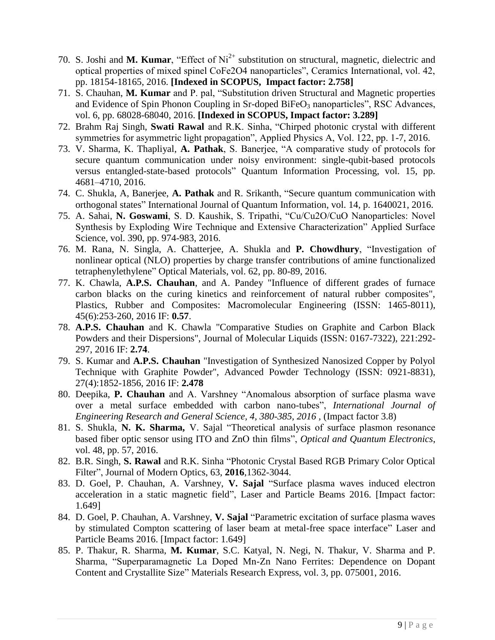- 70. S. Joshi and M. Kumar, "Effect of Ni<sup>2+</sup> substitution on structural, magnetic, dielectric and optical properties of mixed spinel CoFe2O4 nanoparticles", Ceramics International, vol. 42, pp. 18154-18165, 2016. **[Indexed in SCOPUS, Impact factor: 2.758]**
- 71. S. Chauhan, **M. Kumar** and P. pal, "Substitution driven Structural and Magnetic properties and Evidence of Spin Phonon Coupling in Sr-doped BiFeO<sub>3</sub> nanoparticles", RSC Advances, vol. 6, pp. 68028-68040, 2016. **[Indexed in SCOPUS, Impact factor: 3.289]**
- 72. Brahm Raj Singh, **Swati Rawal** and R.K. Sinha, "Chirped photonic crystal with different symmetries for asymmetric light propagation", Applied Physics A, Vol. 122, pp. 1-7, 2016.
- 73. V. Sharma, K. Thapliyal, **A. Pathak**, S. Banerjee, "A comparative study of protocols for secure quantum communication under noisy environment: single-qubit-based protocols versus entangled-state-based protocols" Quantum Information Processing, vol. 15, pp. 4681–4710, 2016.
- 74. C. Shukla, A, Banerjee, **A. Pathak** and R. Srikanth, "Secure quantum communication with orthogonal states" International Journal of Quantum Information, vol. 14, p. 1640021, 2016.
- 75. A. Sahai, **N. Goswami**, S. D. Kaushik, S. Tripathi, "Cu/Cu2O/CuO Nanoparticles: Novel Synthesis by Exploding Wire Technique and Extensive Characterization" Applied Surface Science, vol. 390, pp. 974-983, 2016.
- 76. M. Rana, N. Singla, A. Chatterjee, A. Shukla and **P. Chowdhury**, "Investigation of nonlinear optical (NLO) properties by charge transfer contributions of amine functionalized tetraphenylethylene" Optical Materials, vol. 62, pp. 80-89, 2016.
- 77. K. Chawla, **A.P.S. Chauhan**, and A. Pandey "Influence of different grades of furnace carbon blacks on the curing kinetics and reinforcement of natural rubber composites", Plastics, Rubber and Composites: Macromolecular Engineering (ISSN: 1465-8011), 45(6):253-260, 2016 IF: **0.57**.
- 78. **A.P.S. Chauhan** and K. Chawla "Comparative Studies on Graphite and Carbon Black Powders and their Dispersions", Journal of Molecular Liquids (ISSN: 0167-7322), 221:292- 297, 2016 IF: **2.74**.
- 79. S. Kumar and **A.P.S. Chauhan** "Investigation of Synthesized Nanosized Copper by Polyol Technique with Graphite Powder", Advanced Powder Technology (ISSN: 0921-8831), 27(4):1852-1856, 2016 IF: **2.478**
- 80. Deepika, **P. Chauhan** and A. Varshney "Anomalous absorption of surface plasma wave over a metal surface embedded with carbon nano-tubes", *International Journal of Engineering Research and General Science, 4, 380-385, 2016, (Impact factor 3.8)*
- 81. S. Shukla, **N. K. Sharma,** V. Sajal "Theoretical analysis of surface plasmon resonance based fiber optic sensor using ITO and ZnO thin films", *Optical and Quantum Electronics*, vol. 48, pp. 57, 2016.
- 82. B.R. Singh, **S. Rawal** and R.K. Sinha "Photonic Crystal Based RGB Primary Color Optical Filter", Journal of Modern Optics, 63, **2016**,1362-3044.
- 83. D. Goel, P. Chauhan, A. Varshney, **V. Sajal** ["Surface plasma waves induced electron](https://scholar.google.co.in/citations?view_op=view_citation&hl=en&user=uYFZr8UAAAAJ&sortby=pubdate&citation_for_view=uYFZr8UAAAAJ:mB3voiENLucC)  [acceleration in a static magnetic field"](https://scholar.google.co.in/citations?view_op=view_citation&hl=en&user=uYFZr8UAAAAJ&sortby=pubdate&citation_for_view=uYFZr8UAAAAJ:mB3voiENLucC), Laser and Particle Beams 2016. [Impact factor: 1.649]
- 84. D. Goel, P. Chauhan, A. Varshney, **V. Sajal** "Parametric excitation of surface plasma waves by stimulated Compton scattering of laser beam at metal-free space interface" Laser and Particle Beams 2016. [Impact factor: 1.649]
- 85. P. Thakur, R. Sharma, **M. Kumar**, S.C. Katyal, N. Negi, N. Thakur, V. Sharma and P. Sharma, "Superparamagnetic La Doped Mn-Zn Nano Ferrites: Dependence on Dopant Content and Crystallite Size" Materials Research Express, vol. 3, pp. 075001, 2016.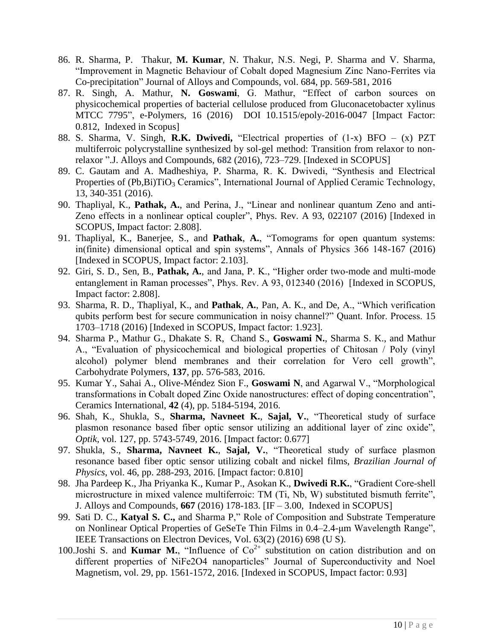- 86. R. Sharma, P. Thakur, **M. Kumar**, N. Thakur, N.S. Negi, P. Sharma and V. Sharma, "Improvement in Magnetic Behaviour of Cobalt doped Magnesium Zinc Nano-Ferrites via Co-precipitation" Journal of Alloys and Compounds, vol. 684, pp. 569-581, 2016
- 87. R. Singh, A. Mathur, **N. Goswami**, G. Mathur, "Effect of carbon sources on physicochemical properties of bacterial cellulose produced from Gluconacetobacter xylinus MTCC 7795", e-Polymers, 16 (2016) DOI 10.1515/epoly-2016-0047 [Impact Factor: 0.812, Indexed in Scopus]
- 88. S. Sharma, V. Singh, **R.K. Dwivedi,** "Electrical properties of (1-x) BFO (x) PZT multiferroic polycrystalline synthesized by sol-gel method: Transition from relaxor to nonrelaxor ".J. Alloys and Compounds, **[682](http://www.sciencedirect.com/science/journal/09258388/682/supp/C)** (2016), 723–729. [Indexed in SCOPUS]
- 89. C. Gautam and A. Madheshiya, P. Sharma, R. K. Dwivedi, "Synthesis and Electrical Properties of (Pb,Bi)TiO<sub>3</sub> Ceramics", International Journal of Applied Ceramic Technology, 13, 340-351 (2016).
- 90. Thapliyal, K., **Pathak, A.**, and Perina, J., "Linear and nonlinear quantum Zeno and anti-Zeno effects in a nonlinear optical coupler", Phys. Rev. A 93, 022107 (2016) [Indexed in SCOPUS, Impact factor: 2.808].
- 91. Thapliyal, K., Banerjee, S., and **Pathak**, **A.**, "Tomograms for open quantum systems: in(finite) dimensional optical and spin systems", Annals of Physics 366 148-167 (2016) [Indexed in SCOPUS, Impact factor: 2.103].
- 92. Giri, S. D., Sen, B., **Pathak, A.**, and Jana, P. K., "Higher order two-mode and multi-mode entanglement in Raman processes", Phys. Rev. A 93, 012340 (2016) [Indexed in SCOPUS, Impact factor: 2.808].
- 93. Sharma, R. D., Thapliyal, K., and **Pathak**, **A.**, Pan, A. K., and De, A., "Which verification qubits perform best for secure communication in noisy channel?" Quant. Infor. Process. 15 1703–1718 (2016) [Indexed in SCOPUS, Impact factor: 1.923].
- 94. Sharma P., Mathur G., Dhakate S. R, Chand S., **Goswami N.**, Sharma S. K., and Mathur A., "Evaluation of physicochemical and biological properties of Chitosan / Poly (vinyl alcohol) polymer blend membranes and their correlation for Vero cell growth", Carbohydrate Polymers, **137**, pp. 576-583, 2016.
- 95. Kumar Y., Sahai A., Olive-Méndez Sion F., **Goswami N**, and Agarwal V., "Morphological transformations in Cobalt doped Zinc Oxide nanostructures: effect of doping concentration", Ceramics International, **42** (4), pp. 5184-5194, 2016.
- 96. Shah, K., Shukla, S., **Sharma, Navneet K.**, **Sajal, V.**, "Theoretical study of surface plasmon resonance based fiber optic sensor utilizing an additional layer of zinc oxide", *Optik*, vol. 127, pp. 5743-5749, 2016. [Impact factor: 0.677]
- 97. Shukla, S., **Sharma, Navneet K.**, **Sajal, V.**, "Theoretical study of surface plasmon resonance based fiber optic sensor utilizing cobalt and nickel films, *Brazilian Journal of Physics*, vol. 46, pp. 288-293, 2016. [Impact factor: 0.810]
- 98. Jha Pardeep K., Jha Priyanka K., Kumar P., Asokan K., **Dwivedi R.K.**, "Gradient Core-shell microstructure in mixed valence multiferroic: TM (Ti, Nb, W) substituted bismuth ferrite", J. Alloys and Compounds, **667** (2016) 178-183. [IF – 3.00, Indexed in SCOPUS]
- 99. Sati D. C., **Katyal S. C.,** and Sharma P," Role of Composition and Substrate Temperature on Nonlinear Optical Properties of GeSeTe Thin Films in 0.4–2.4-μm Wavelength Range", IEEE Transactions on Electron Devices, Vol. 63(2) (2016) 698 (U S).
- 100.Joshi S. and **Kumar M.**, "Influence of  $Co^{2+}$  substitution on cation distribution and on different properties of NiFe2O4 nanoparticles" Journal of Superconductivity and Noel Magnetism, vol. 29, pp. 1561-1572, 2016. [Indexed in SCOPUS, Impact factor: 0.93]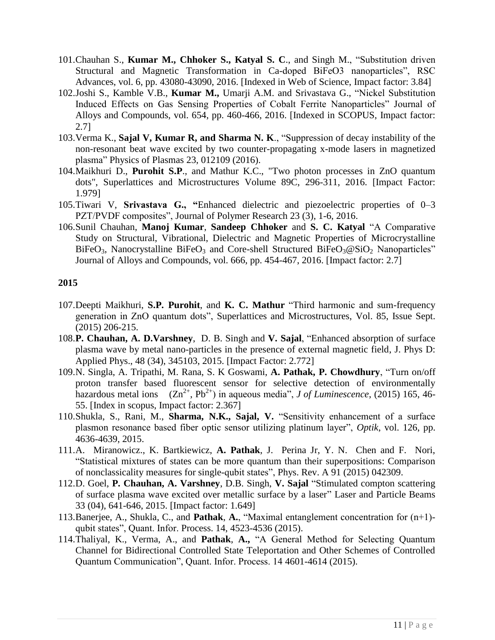- 101.Chauhan S., **Kumar M., Chhoker S., Katyal S. C**., and Singh M., "Substitution driven Structural and Magnetic Transformation in Ca-doped BiFeO3 nanoparticles", RSC Advances, vol. 6, pp. 43080-43090, 2016. [Indexed in Web of Science, Impact factor: 3.84]
- 102.Joshi S., Kamble V.B., **Kumar M.,** Umarji A.M. and Srivastava G., "Nickel Substitution Induced Effects on Gas Sensing Properties of Cobalt Ferrite Nanoparticles" Journal of Alloys and Compounds, vol. 654, pp. 460-466, 2016. [Indexed in SCOPUS, Impact factor: 2.7]
- 103.Verma K., **Sajal V, Kumar R, and Sharma N. K**., "Suppression of decay instability of the non-resonant beat wave excited by two counter-propagating x-mode lasers in magnetized plasma" Physics of Plasmas 23, 012109 (2016).
- 104.Maikhuri D., **Purohit S.P**., and Mathur K.C., "Two photon processes in ZnO quantum dots", Superlattices and Microstructures Volume 89C, 296-311, 2016. [Impact Factor: 1.979]
- 105.Tiwari V, **Srivastava G., "**Enhanced dielectric and piezoelectric properties of 0–3 PZT/PVDF composites", Journal of Polymer Research 23 (3), 1-6, 2016.
- 106.Sunil Chauhan, **Manoj Kumar**, **Sandeep Chhoker** and **S. C. Katyal** "A Comparative Study on Structural, Vibrational, Dielectric and Magnetic Properties of Microcrystalline BiFeO<sub>3</sub>, Nanocrystalline BiFeO<sub>3</sub> and Core-shell Structured BiFeO<sub>3</sub>@SiO<sub>2</sub> Nanoparticles" Journal of Alloys and Compounds, vol. 666, pp. 454-467, 2016. [Impact factor: 2.7]

- 107.Deepti Maikhuri, **S.P. Purohit**, and **K. C. Mathur** "Third harmonic and sum-frequency generation in ZnO quantum dots", Superlattices and Microstructures, Vol. 85, Issue Sept. (2015) 206-215.
- 108.**P. Chauhan, A. D.Varshney**, D. B. Singh and **V. Sajal**, ["Enhanced absorption of surface](https://scholar.google.co.in/citations?view_op=view_citation&hl=en&user=uYFZr8UAAAAJ&sortby=pubdate&citation_for_view=uYFZr8UAAAAJ:7PzlFSSx8tAC)  [plasma wave by metal nano-particles in the presence of external magnetic field,](https://scholar.google.co.in/citations?view_op=view_citation&hl=en&user=uYFZr8UAAAAJ&sortby=pubdate&citation_for_view=uYFZr8UAAAAJ:7PzlFSSx8tAC) J. Phys D: Applied Phys., 48 (34), 345103, 2015. [Impact Factor: 2.772]
- 109.N. Singla, A. Tripathi, M. Rana, S. K Goswami, **A. Pathak, P. Chowdhury**, "Turn on/off proton transfer based fluorescent sensor for selective detection of environmentally hazardous metal ions  $(Zn^{2+}, Pb^{2+})$  in aqueous media", *J of Luminescence*, (2015) 165, 46-55. [Index in scopus, Impact factor: 2.367]
- 110.Shukla, S., Rani, M., **Sharma, N.K., Sajal, V.** "Sensitivity enhancement of a surface plasmon resonance based fiber optic sensor utilizing platinum layer", *Optik*, vol. 126, pp. 4636-4639, 2015.
- 111.A. Miranowicz., K. Bartkiewicz, **A. Pathak**, J. Perina Jr, Y. N. Chen and F. Nori, "Statistical mixtures of states can be more quantum than their superpositions: Comparison of nonclassicality measures for single-qubit states", Phys. Rev. A 91 (2015) 042309.
- 112.D. Goel, **P. Chauhan, A. Varshney**, D.B. Singh, **V. Sajal** "Stimulated compton scattering of surface plasma wave excited over metallic surface by a laser" Laser and Particle Beams 33 (04), 641-646, 2015. [Impact factor: 1.649]
- 113.Banerjee, A., Shukla, C., and **Pathak**, **A.**, "Maximal entanglement concentration for (n+1) qubit states", Quant. Infor. Process. 14, 4523-4536 (2015).
- 114.Thaliyal, K., Verma, A., and **Pathak**, **A.,** "A General Method for Selecting Quantum Channel for Bidirectional Controlled State Teleportation and Other Schemes of Controlled Quantum Communication", Quant. Infor. Process. 14 4601-4614 (2015).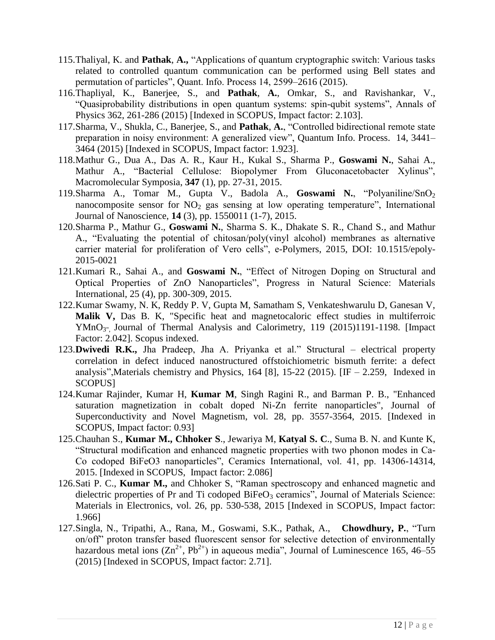- 115.Thaliyal, K. and **Pathak**, **A.,** "Applications of quantum cryptographic switch: Various tasks related to controlled quantum communication can be performed using Bell states and permutation of particles", Quant. Info. Process 14, 2599–2616 (2015).
- 116.Thapliyal, K., Banerjee, S., and **Pathak**, **A.**, Omkar, S., and Ravishankar, V., "Quasiprobability distributions in open quantum systems: spin-qubit systems", Annals of Physics 362, 261-286 (2015) [Indexed in SCOPUS, Impact factor: 2.103].
- 117.Sharma, V., Shukla, C., Banerjee, S., and **Pathak**, **A.**, "Controlled bidirectional remote state preparation in noisy environment: A generalized view", Quantum Info. Process. 14, 3441– 3464 (2015) [Indexed in SCOPUS, Impact factor: 1.923].
- 118.Mathur G., Dua A., Das A. R., Kaur H., Kukal S., Sharma P., **Goswami N.**, Sahai A., Mathur A., "Bacterial Cellulose: Biopolymer From Gluconacetobacter Xylinus", Macromolecular Symposia, **347** (1), pp. 27-31, 2015.
- 119.Sharma A., Tomar M., Gupta V., Badola A., **Goswami N.**, "Polyaniline/SnO<sup>2</sup> nanocomposite sensor for  $NO<sub>2</sub>$  gas sensing at low operating temperature", International Journal of Nanoscience, **14** (3), pp. 1550011 (1-7), 2015.
- 120.Sharma P., Mathur G., **Goswami N.**, Sharma S. K., Dhakate S. R., Chand S., and Mathur A., "Evaluating the potential of chitosan/poly(vinyl alcohol) membranes as alternative carrier material for proliferation of Vero cells", e-Polymers, 2015, DOI: 10.1515/epoly-2015-0021
- 121.Kumari R., Sahai A., and **Goswami N.**, "Effect of Nitrogen Doping on Structural and Optical Properties of ZnO Nanoparticles", Progress in Natural Science: Materials International, 25 (4), pp. 300-309, 2015.
- 122.Kumar Swamy, N. K, Reddy P. V, Gupta M, Samatham S, Venkateshwarulu D, Ganesan V, **Malik V,** Das B. K, "Specific heat and magnetocaloric effect studies in multiferroic YMnO<sub>3"</sub>, Journal of Thermal Analysis and Calorimetry, 119 (2015)1191-1198. [Impact] Factor: 2.042]. Scopus indexed.
- 123.**Dwivedi R.K.,** Jha Pradeep, Jha A. Priyanka et al." Structural electrical property correlation in defect induced nanostructured offstoichiometric bismuth ferrite: a defect analysis", Materials chemistry and Physics, 164 [8], 15-22 (2015). [IF  $-$  2.259, Indexed in SCOPUS]
- 124.Kumar Rajinder, Kumar H, **Kumar M**, Singh Ragini R., and Barman P. B., "Enhanced saturation magnetization in cobalt doped Ni-Zn ferrite nanoparticles", Journal of Superconductivity and Novel Magnetism, vol. 28, pp. 3557-3564, 2015. [Indexed in SCOPUS, Impact factor: 0.93]
- 125.Chauhan S., **Kumar M., Chhoker S**., Jewariya M, **Katyal S. C**., Suma B. N. and Kunte K, "Structural modification and enhanced magnetic properties with two phonon modes in Ca-Co codoped BiFeO3 nanoparticles", Ceramics International, vol. 41, pp. 14306-14314, 2015. [Indexed in SCOPUS, Impact factor: 2.086]
- 126.Sati P. C., **Kumar M.,** and Chhoker S, "Raman spectroscopy and enhanced magnetic and dielectric properties of Pr and Ti codoped BiFeO<sub>3</sub> ceramics", Journal of Materials Science: Materials in Electronics, vol. 26, pp. 530-538, 2015 [Indexed in SCOPUS, Impact factor: 1.966]
- 127.Singla, N., Tripathi, A., Rana, M., Goswami, S.K., Pathak, A., **Chowdhury, P.**, "Turn on/off" proton transfer based fluorescent sensor for selective detection of environmentally hazardous metal ions  $(Zn^{2+}, Pb^{2+})$  in aqueous media", Journal of Luminescence 165, 46–55 (2015) [Indexed in SCOPUS, Impact factor: 2.71].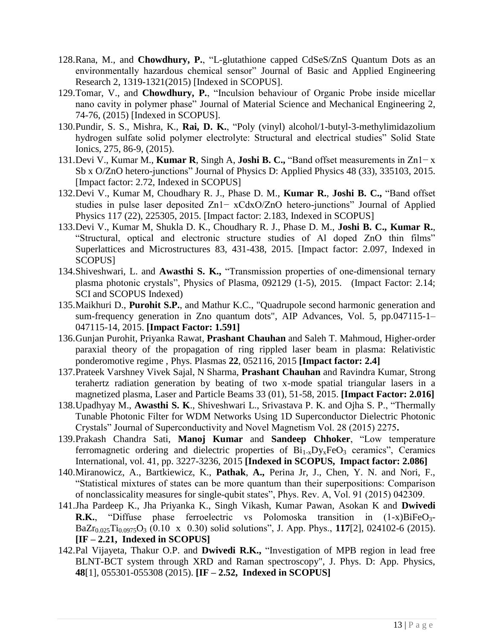- 128.Rana, M., and **Chowdhury, P.**, "L-glutathione capped CdSeS/ZnS Quantum Dots as an environmentally hazardous chemical sensor" Journal of Basic and Applied Engineering Research 2, 1319-1321(2015) [Indexed in SCOPUS].
- 129.Tomar, V., and **Chowdhury, P.**, "Inculsion behaviour of Organic Probe inside micellar nano cavity in polymer phase" Journal of Material Science and Mechanical Engineering 2, 74-76, (2015) [Indexed in SCOPUS].
- 130.Pundir, S. S., Mishra, K., **Rai, D. K.**, "Poly (vinyl) alcohol/1-butyl-3-methylimidazolium hydrogen sulfate solid polymer electrolyte: Structural and electrical studies" Solid State Ionics, 275, 86-9, (2015).
- 131.Devi V., Kumar M., **Kumar R**, Singh A, **Joshi B. C.,** "Band offset measurements in Zn1− x Sb x O/ZnO hetero-junctions" Journal of Physics D: Applied Physics 48 (33), 335103, 2015. [Impact factor: 2.72, Indexed in SCOPUS]
- 132.Devi V., Kumar M, Choudhary R. J., Phase D. M., **Kumar R.**, **Joshi B. C.,** "Band offset studies in pulse laser deposited Zn1− xCdxO/ZnO hetero-junctions" Journal of Applied Physics 117 (22), 225305, 2015. [Impact factor: 2.183, Indexed in SCOPUS]
- 133.Devi V., Kumar M, Shukla D. K., Choudhary R. J., Phase D. M., **Joshi B. C., Kumar R.**, "Structural, optical and electronic structure studies of Al doped ZnO thin films" Superlattices and Microstructures 83, 431-438, 2015. [Impact factor: 2.097, Indexed in SCOPUS]
- 134.Shiveshwari, L. and **Awasthi S. K.,** "Transmission properties of one-dimensional ternary plasma photonic crystals", Physics of Plasma, 092129 (1-5), 2015. (Impact Factor: 2.14; SCI and SCOPUS Indexed)
- 135.Maikhuri D., **Purohit S.P.**, and Mathur K.C., "Quadrupole second harmonic generation and sum-frequency generation in Zno quantum dots", AIP Advances, Vol. 5, pp.047115-1– 047115-14, 2015. **[Impact Factor: 1.591]**
- 136.Gunjan [Purohit,](http://scitation.aip.org/search?value1=Gunjan+Purohit&option1=author&option912=resultCategory&value912=ResearchPublicationContent) [Priyanka](http://scitation.aip.org/search?value1=Priyanka+Rawat&option1=author&option912=resultCategory&value912=ResearchPublicationContent) Rawat, **Prashant [Chauhan](http://scitation.aip.org/search?value1=Prashant+Chauhan&option1=author&option912=resultCategory&value912=ResearchPublicationContent)** and Saleh T. [Mahmoud,](http://scitation.aip.org/search?value1=Saleh+T.+Mahmoud&option1=author&option912=resultCategory&value912=ResearchPublicationContent) Higher-order paraxial theory of the propagation of ring rippled laser beam in plasma: Relativistic ponderomotive regime , Phys. Plasmas **22**, 052116, 2015 **[Impact factor: 2.4]**
- 137.Prateek Varshney Vivek Sajal, N Sharma, **Prashant Chauhan** and Ravindra Kumar, Strong terahertz radiation generation by beating of two x-mode spatial triangular lasers in a magnetized plasma, Laser and Particle Beams 33 (01), 51-58, 2015. **[Impact Factor: 2.016]**
- 138.Upadhyay M., **Awasthi S. K**., Shiveshwari L., Srivastava P. K. and Ojha S. P., "Thermally Tunable Photonic Filter for WDM Networks Using 1D Superconductor Dielectric Photonic Crystals" Journal of Superconductivity and Novel Magnetism Vol. 28 (2015) 2275**.**
- 139.Prakash Chandra Sati, **Manoj Kumar** and **Sandeep Chhoker**, "Low temperature ferromagnetic ordering and dielectric properties of  $Bi_{1-x}D_{y_x}FeO_3$  ceramics", Ceramics International, vol. 41, pp. 3227-3236, 2015 **[Indexed in SCOPUS, Impact factor: 2.086]**
- 140.Miranowicz, A., Bartkiewicz, K., **Pathak**, **A.,** Perina Jr, J., Chen, Y. N. and Nori, F., "Statistical mixtures of states can be more quantum than their superpositions: Comparison of nonclassicality measures for single-qubit states", Phys. Rev. A, Vol. 91 (2015) 042309.
- 141.Jha Pardeep K., Jha Priyanka K., Singh Vikash, Kumar Pawan, Asokan K and **Dwivedi R.K.**, "Diffuse phase ferroelectric vs Polomoska transition in  $(1-x)BiFeO<sub>3</sub>$ -BaZr0.025Ti0.0975O<sup>3</sup> (0.10 x 0.30) solid solutions", J. App. Phys., **117**[2], 024102-6 (2015). **[IF – 2.21, Indexed in SCOPUS]**
- 142.Pal Vijayeta, Thakur O.P. and **Dwivedi R.K.,** "Investigation of MPB region in lead free BLNT-BCT system through XRD and Raman spectroscopy", J. Phys. D: App. Physics, **48**[1], 055301-055308 (2015). **[IF – 2.52, Indexed in SCOPUS]**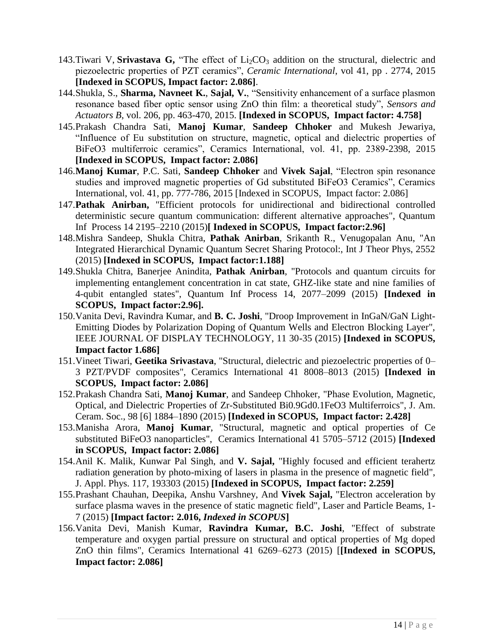- 143. Tiwari V, **Srivastava G,** "The effect of  $Li<sub>2</sub>CO<sub>3</sub>$  addition on the structural, dielectric and piezoelectric properties of PZT ceramics", *Ceramic International*, vol 41, pp . 2774, 2015 **[Indexed in SCOPUS, Impact factor: 2.086]**.
- 144.Shukla, S., **Sharma, Navneet K.**, **Sajal, V.**, "Sensitivity enhancement of a surface plasmon resonance based fiber optic sensor using ZnO thin film: a theoretical study", *Sensors and Actuators B*, vol. 206, pp. 463-470, 2015. **[Indexed in SCOPUS, Impact factor: 4.758]**
- 145.Prakash Chandra Sati, **Manoj Kumar**, **Sandeep Chhoker** and Mukesh Jewariya, "Influence of Eu substitution on structure, magnetic, optical and dielectric properties of BiFeO3 multiferroic ceramics", Ceramics International, vol. 41, pp. 2389-2398, 2015 **[Indexed in SCOPUS, Impact factor: 2.086]**
- 146.**Manoj Kumar**, P.C. Sati, **Sandeep Chhoker** and **Vivek Sajal**, "Electron spin resonance studies and improved magnetic properties of Gd substituted BiFeO3 Ceramics", Ceramics International, vol. 41, pp. 777-786, 2015 [Indexed in SCOPUS, Impact factor: 2.086]
- 147.**Pathak Anirban,** "Efficient protocols for unidirectional and bidirectional controlled deterministic secure quantum communication: different alternative approaches", Quantum Inf Process 14 2195–2210 (2015)**[ Indexed in SCOPUS, Impact factor:2.96]**
- 148.Mishra Sandeep, Shukla Chitra, **Pathak Anirban**, Srikanth R., Venugopalan Anu, "An Integrated Hierarchical Dynamic Quantum Secret Sharing Protocol:, Int J Theor Phys, 2552 (2015) **[Indexed in SCOPUS, Impact factor:1.188]**
- 149.Shukla Chitra, Banerjee Anindita, **Pathak Anirban**, "Protocols and quantum circuits for implementing entanglement concentration in cat state, GHZ-like state and nine families of 4-qubit entangled states", Quantum Inf Process 14, 2077–2099 (2015) **[Indexed in SCOPUS, Impact factor:2.96].**
- 150.Vanita Devi, Ravindra Kumar, and **B. C. Joshi**, "Droop Improvement in InGaN/GaN Light-Emitting Diodes by Polarization Doping of Quantum Wells and Electron Blocking Layer", IEEE JOURNAL OF DISPLAY TECHNOLOGY, 11 30-35 (2015) **[Indexed in SCOPUS, Impact factor 1.686]**
- 151.Vineet Tiwari, **Geetika Srivastava**, "Structural, dielectric and piezoelectric properties of 0– 3 PZT/PVDF composites", Ceramics International 41 8008–8013 (2015) **[Indexed in SCOPUS, Impact factor: 2.086]**
- 152.Prakash Chandra Sati, **Manoj Kumar**, and Sandeep Chhoker, "Phase Evolution, Magnetic, Optical, and Dielectric Properties of Zr-Substituted Bi0.9Gd0.1FeO3 Multiferroics", J. Am. Ceram. Soc., 98 [6] 1884–1890 (2015) **[Indexed in SCOPUS, Impact factor: 2.428]**
- 153.Manisha Arora, **Manoj Kumar**, "Structural, magnetic and optical properties of Ce substituted BiFeO3 nanoparticles", Ceramics International 41 5705–5712 (2015) **[Indexed in SCOPUS, Impact factor: 2.086]**
- 154.Anil K. Malik, Kunwar Pal Singh, and **V. Sajal,** "Highly focused and efficient terahertz radiation generation by photo-mixing of lasers in plasma in the presence of magnetic field", J. Appl. Phys. 117, 193303 (2015) **[Indexed in SCOPUS, Impact factor: 2.259]**
- 155.Prashant Chauhan, Deepika, Anshu Varshney, And **Vivek Sajal,** "Electron acceleration by surface plasma waves in the presence of static magnetic field", Laser and Particle Beams, 1- 7 (2015) **[Impact factor: 2.016,** *Indexed in SCOPUS***]**
- 156.Vanita Devi, Manish Kumar, **Ravindra Kumar, B.C. Joshi**, "Effect of substrate temperature and oxygen partial pressure on structural and optical properties of Mg doped ZnO thin films", Ceramics International 41 6269–6273 (2015) [**[Indexed in SCOPUS, Impact factor: 2.086]**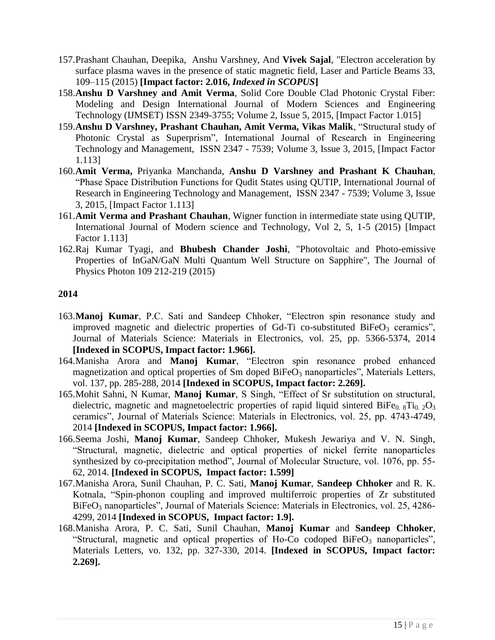- 157.Prashant Chauhan, Deepika, Anshu Varshney, And **Vivek Sajal**, "Electron acceleration by surface plasma waves in the presence of static magnetic field, Laser and Particle Beams 33, 109–115 (2015) **[Impact factor: 2.016,** *Indexed in SCOPUS***]**
- 158.**Anshu D Varshney and Amit Verma**, Solid Core Double Clad Photonic Crystal Fiber: Modeling and Design International Journal of Modern Sciences and Engineering Technology (IJMSET) ISSN 2349-3755; Volume 2, Issue 5, 2015, [Impact Factor 1.015]
- 159.**Anshu D Varshney, Prashant Chauhan, Amit Verma, Vikas Malik**, "Structural study of Photonic Crystal as Superprism", International Journal of Research in Engineering Technology and Management, ISSN 2347 - 7539; Volume 3, Issue 3, 2015, [Impact Factor 1.113]
- 160.**Amit Verma,** Priyanka Manchanda, **Anshu D Varshney and Prashant K Chauhan**, "Phase Space Distribution Functions for Qudit States using QUTIP, International Journal of Research in Engineering Technology and Management, ISSN 2347 - 7539; Volume 3, Issue 3, 2015, [Impact Factor 1.113]
- 161.**Amit Verma and Prashant Chauhan**, Wigner function in intermediate state using QUTIP, International Journal of Modern science and Technology, Vol 2, 5, 1-5 (2015) [Impact Factor 1.113]
- 162.Raj Kumar Tyagi, and **Bhubesh Chander Joshi**, "Photovoltaic and Photo-emissive Properties of InGaN/GaN Multi Quantum Well Structure on Sapphire", The Journal of Physics Photon 109 212-219 (2015)

- 163.**Manoj Kumar**, P.C. Sati and Sandeep Chhoker, "Electron spin resonance study and improved magnetic and dielectric properties of Gd-Ti co-substituted  $BiFeO<sub>3</sub>$  ceramics", Journal of Materials Science: Materials in Electronics, vol. 25, pp. 5366-5374, 2014 **[Indexed in SCOPUS, Impact factor: 1.966].**
- 164.Manisha Arora and **Manoj Kumar**, "Electron spin resonance probed enhanced magnetization and optical properties of Sm doped  $BiFeO<sub>3</sub>$  nanoparticles", Materials Letters, vol. 137, pp. 285-288, 2014 **[Indexed in SCOPUS, Impact factor: 2.269].**
- 165.Mohit Sahni, N Kumar, **Manoj Kumar**, S Singh, "Effect of Sr substitution on structural, dielectric, magnetic and magnetoelectric properties of rapid liquid sintered BiFe<sub>0.8</sub>Ti<sub>0.2</sub>O<sub>3</sub> ceramics", Journal of Materials Science: Materials in Electronics, vol. 25, pp. 4743-4749, 2014 **[Indexed in SCOPUS, Impact factor: 1.966].**
- 166.Seema Joshi, **Manoj Kumar**, Sandeep Chhoker, Mukesh Jewariya and V. N. Singh, "Structural, magnetic, dielectric and optical properties of nickel ferrite nanoparticles synthesized by co-precipitation method", Journal of Molecular Structure, vol. 1076, pp. 55- 62, 2014. **[Indexed in SCOPUS, Impact factor: 1.599]**
- 167.Manisha Arora, Sunil Chauhan, P. C. Sati, **Manoj Kumar**, **Sandeep Chhoker** and R. K. Kotnala, "Spin-phonon coupling and improved multiferroic properties of Zr substituted BiFeO<sub>3</sub> nanoparticles", Journal of Materials Science: Materials in Electronics, vol. 25, 4286-4299, 2014 **[Indexed in SCOPUS, Impact factor: 1.9].**
- 168.Manisha Arora, P. C. Sati, Sunil Chauhan, **Manoj Kumar** and **Sandeep Chhoker**, "Structural, magnetic and optical properties of Ho-Co codoped  $B$ iFeO<sub>3</sub> nanoparticles", Materials Letters, vo. 132, pp. 327-330, 2014. **[Indexed in SCOPUS, Impact factor: 2.269].**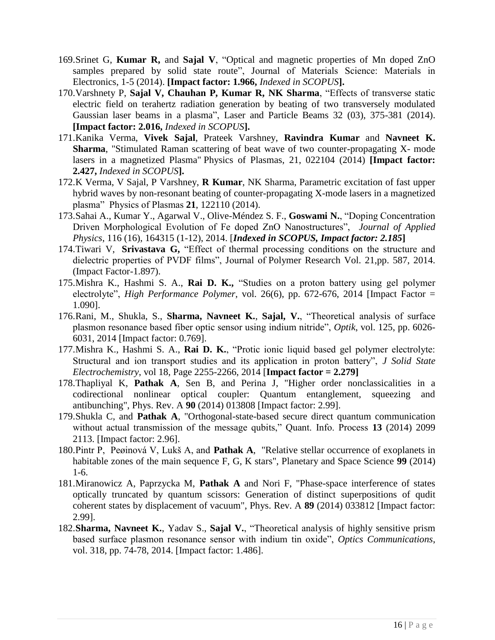- 169.Srinet G, **Kumar R,** and **Sajal V**, "Optical and magnetic properties of Mn doped ZnO samples prepared by solid state route", Journal of Materials Science: Materials in Electronics, 1-5 (2014). **[Impact factor: 1.966,** *Indexed in SCOPUS***].**
- 170.Varshnety P, **Sajal V, Chauhan P, Kumar R, NK Sharma**, "Effects of transverse static electric field on terahertz radiation generation by beating of two transversely modulated Gaussian laser beams in a plasma", Laser and Particle Beams 32 (03), 375-381 (2014). **[Impact factor: 2.016,** *Indexed in SCOPUS***].**
- 171.Kanika Verma, **Vivek Sajal**, Prateek Varshney, **Ravindra Kumar** and **Navneet K. Sharma**, "Stimulated Raman scattering of beat wave of two counter-propagating X- mode lasers in a magnetized Plasma" Physics of Plasmas, 21, 022104 (2014) **[Impact factor: 2.427,** *Indexed in SCOPUS***].**
- 172.K Verma, V Sajal, P Varshney, **R Kumar**, NK Sharma, Parametric excitation of fast upper hybrid waves by non-resonant beating of counter-propagating X-mode lasers in a magnetized plasma" Physics of Plasmas **21**, 122110 (2014).
- 173.Sahai A., Kumar Y., Agarwal V., Olive-Méndez S. F., **Goswami N.**, "Doping Concentration Driven Morphological Evolution of Fe doped ZnO Nanostructures", *Journal of Applied Physics*, 116 (16), 164315 (1-12), 2014. [*Indexed in SCOPUS, Impact factor: 2.185***]**
- 174.Tiwari V, **Srivastava G,** "Effect of thermal processing conditions on the structure and dielectric properties of PVDF films", Journal of Polymer Research Vol. 21,pp. 587, 2014. (Impact Factor-1.897).
- 175.Mishra K., Hashmi S. A., **Rai D. K.,** "Studies on a proton battery using gel polymer electrolyte", *High Performance Polymer*, vol. 26(6), pp. 672-676, 2014 [Impact Factor = 1.090].
- 176.Rani, M., Shukla, S., **Sharma, Navneet K.**, **Sajal, V.**, "Theoretical analysis of surface plasmon resonance based fiber optic sensor using indium nitride", *Optik*, vol. 125, pp. 6026- 6031, 2014 [Impact factor: 0.769].
- 177.Mishra K., Hashmi S. A., **Rai D. K.**, "Protic ionic liquid based gel polymer electrolyte: Structural and ion transport studies and its application in proton battery", *J Solid State Electrochemistry*, vol 18, Page 2255-2266, 2014 [**Impact factor = 2.279]**
- 178.Thapliyal K, **Pathak A**, Sen B, and Perina J, "Higher order nonclassicalities in a codirectional nonlinear optical coupler: Quantum entanglement, squeezing and antibunching", Phys. Rev. A **90** (2014) 013808 [Impact factor: 2.99].
- 179.Shukla C, and **Pathak A**, "Orthogonal-state-based secure direct quantum communication without actual transmission of the message qubits," Quant. Info. Process **13** (2014) 2099 2113. [Impact factor: 2.96].
- 180.Pintr P, Peøinová V, Lukš A, and **Pathak A**, "Relative stellar occurrence of exoplanets in habitable zones of the main sequence F, G, K stars", Planetary and Space Science **99** (2014) 1-6.
- 181.Miranowicz A, Paprzycka M, **Pathak A** and Nori F, "Phase-space interference of states optically truncated by quantum scissors: Generation of distinct superpositions of qudit coherent states by displacement of vacuum", Phys. Rev. A **89** (2014) 033812 [Impact factor: 2.99].
- 182.**Sharma, Navneet K.**, Yadav S., **Sajal V.**, "Theoretical analysis of highly sensitive prism based surface plasmon resonance sensor with indium tin oxide", *Optics Communications*, vol. 318, pp. 74-78, 2014. [Impact factor: 1.486].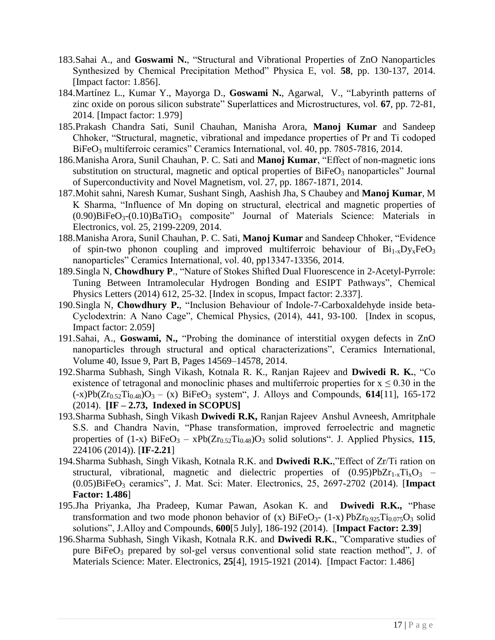- 183.Sahai A., and **Goswami N.**, "Structural and Vibrational Properties of ZnO Nanoparticles Synthesized by Chemical Precipitation Method" Physica E, vol. **58**, pp. 130-137, 2014. [Impact factor: 1.856].
- 184.Martínez L., Kumar Y., Mayorga D., **Goswami N.**, Agarwal, V., "Labyrinth patterns of zinc oxide on porous silicon substrate" Superlattices and Microstructures, vol. **67**, pp. 72-81, 2014. [Impact factor: 1.979]
- 185.Prakash Chandra Sati, Sunil Chauhan, Manisha Arora, **Manoj Kumar** and Sandeep Chhoker, "Structural, magnetic, vibrational and impedance properties of Pr and Ti codoped BiFeO<sub>3</sub> multiferroic ceramics" Ceramics International, vol. 40, pp. 7805-7816, 2014.
- 186.Manisha Arora, Sunil Chauhan, P. C. Sati and **Manoj Kumar**, "Effect of non-magnetic ions substitution on structural, magnetic and optical properties of  $BiFeO<sub>3</sub>$  nanoparticles" Journal of Superconductivity and Novel Magnetism*,* vol. 27, pp. 1867-1871, 2014.
- 187.Mohit sahni, Naresh Kumar, Sushant Singh, Aashish Jha, S Chaubey and **Manoj Kumar**, M K Sharma, "Influence of Mn doping on structural, electrical and magnetic properties of  $(0.90)$ BiFeO<sub>3</sub>- $(0.10)$ BaTiO<sub>3</sub> composite" Journal of Materials Science: Materials in Electronics, vol. 25, 2199-2209, 2014.
- 188.Manisha Arora, Sunil Chauhan, P. C. Sati, **Manoj Kumar** and Sandeep Chhoker, "Evidence of spin-two phonon coupling and improved multiferroic behaviour of  $Bi_{1-x}D_{y_x}FeO_3$ nanoparticles" Ceramics International, vol. 40, pp13347-13356, 2014.
- 189.Singla N, **Chowdhury P**., "Nature of Stokes Shifted Dual Fluorescence in 2-Acetyl-Pyrrole: Tuning Between Intramolecular Hydrogen Bonding and ESIPT Pathways", Chemical Physics Letters (2014) 612, 25-32. [Index in scopus, Impact factor: 2.337].
- 190.Singla N, **Chowdhury P.**, "Inclusion Behaviour of Indole-7-Carboxaldehyde inside beta-Cyclodextrin: A Nano Cage", Chemical Physics, (2014), 441, 93-100. [Index in scopus, Impact factor: 2.059]
- 191.Sahai, A., **Goswami, N.,** "Probing the dominance of interstitial oxygen defects in ZnO nanoparticles through structural and optical characterizations", Ceramics International, Volume 40, Issue 9, Part B, Pages 14569–14578, 2014.
- 192.Sharma Subhash, Singh Vikash, Kotnala R. K., Ranjan Rajeev and **Dwivedi R. K.**, "Co existence of tetragonal and monoclinic phases and multiferroic properties for  $x \le 0.30$  in the  $(-x)Pb(Zr_{0.52}Ti_{0.48})O_3 - (x) BiFeO_3$  system", J. Alloys and Compounds, 614[11], 165-172 (2014). **[IF – 2.73, Indexed in SCOPUS]**
- 193.Sharma Subhash, Singh Vikash **Dwivedi R.K,** Ranjan Rajeev Anshul Avneesh, Amritphale S.S. and Chandra Navin, "Phase transformation, improved ferroelectric and magnetic properties of  $(1-x)$  BiFeO<sub>3</sub> –  $xPb(Zr_{0.52}Ti_{0.48})O_3$  solid solutions". J. Applied Physics, 115, 224106 (2014)). [**IF-2.21**]
- 194.Sharma Subhash, Singh Vikash, Kotnala R.K. and **Dwivedi R.K.**,"Effect of Zr/Ti ration on structural, vibrational, magnetic and dielectric properties of  $(0.95)PbZr_{1-x}Ti_xO_3$  – (0.05)BiFeO<sup>3</sup> ceramics", J. Mat. Sci: Mater. Electronics, 25, 2697-2702 (2014). [**Impact Factor: 1.486**]
- 195.Jha Priyanka, Jha Pradeep, Kumar Pawan, Asokan K. and **Dwivedi R.K.,** "Phase transformation and two mode phonon behavior of (x)  $BiFeO<sub>3</sub>$ - (1-x)  $PbZr<sub>0.925</sub>Ti<sub>0.075</sub>O<sub>3</sub>$  solid solutions", J.Alloy and Compounds, **600**[5 July], 186-192 (2014). [**Impact Factor: 2.39**]
- 196.Sharma Subhash, Singh Vikash, Kotnala R.K. and **Dwivedi R.K.**, "Comparative studies of pure BiFeO<sub>3</sub> prepared by sol-gel versus conventional solid state reaction method", J. of Materials Science: Mater. Electronics, **25**[4], 1915-1921 (2014). [Impact Factor: 1.486]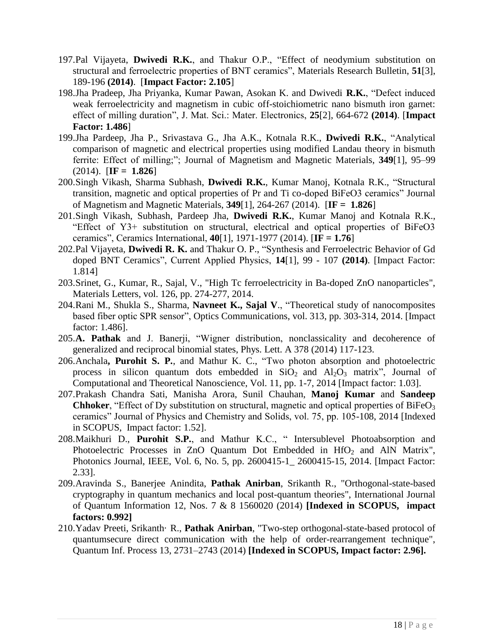- 197.Pal Vijayeta, **Dwivedi R.K.**, and Thakur O.P., "Effect of neodymium substitution on structural and ferroelectric properties of BNT ceramics", Materials Research Bulletin, **51**[3], 189-196 **(2014)**. [**Impact Factor: 2.105**]
- 198.Jha Pradeep, Jha Priyanka, Kumar Pawan, Asokan K. and Dwivedi **R.K.**, "Defect induced weak ferroelectricity and magnetism in cubic off-stoichiometric nano bismuth iron garnet: effect of milling duration", J. Mat. Sci.: Mater. Electronics, **25**[2], 664-672 **(2014)**. [**Impact Factor: 1.486**]
- 199.Jha Pardeep, Jha P., Srivastava G., Jha A.K., Kotnala R.K., **Dwivedi R.K.**, "Analytical comparison of magnetic and electrical properties using modified Landau theory in bismuth ferrite: Effect of milling;"; Journal of Magnetism and Magnetic Materials, **349**[1], 95–99 (2014). [**IF = 1.826**]
- 200.Singh Vikash, Sharma Subhash, **Dwivedi R.K.**, Kumar Manoj, Kotnala R.K., "Structural transition, magnetic and optical properties of Pr and Ti co-doped BiFeO3 ceramics" Journal of Magnetism and Magnetic Materials, **349**[1], 264-267 (2014).[**IF = 1.826**]
- 201.Singh Vikash, Subhash, Pardeep Jha, **Dwivedi R.K.**, Kumar Manoj and Kotnala R.K., "Effect of Y3+ substitution on structural, electrical and optical properties of BiFeO3 ceramics", Ceramics International, **40**[1], 1971-1977 (2014). [**IF = 1.76**]
- 202.Pal Vijayeta, **Dwivedi R. K.** and Thakur O. P., "Synthesis and Ferroelectric Behavior of Gd doped BNT Ceramics", Current Applied Physics, **14**[1], 99 - 107 **(2014)**. [Impact Factor: 1.814]
- 203.Srinet, G., Kumar, R., Sajal, V., "High Tc ferroelectricity in Ba-doped ZnO nanoparticles", Materials Letters, vol. 126, pp. 274-277, 2014.
- 204.Rani M., Shukla S., Sharma, **Navneet K., Sajal V**., "Theoretical study of nanocomposites based fiber optic SPR sensor", Optics Communications, vol. 313, pp. 303-314, 2014. [Impact factor: 1.486].
- 205.**A. Pathak** and J. Banerji, "Wigner distribution, nonclassicality and decoherence of generalized and reciprocal binomial states, Phys. Lett. A 378 (2014) 117-123.
- 206.Anchala**, Purohit S. P.**, and Mathur K. C., "Two photon absorption and photoelectric process in silicon quantum dots embedded in  $SiO<sub>2</sub>$  and  $Al<sub>2</sub>O<sub>3</sub>$  matrix", Journal of Computational and Theoretical Nanoscience, Vol. 11, pp. 1-7, 2014 [Impact factor: 1.03].
- 207.Prakash Chandra Sati, Manisha Arora, Sunil Chauhan, **Manoj Kumar** and **Sandeep Chhoker**, "Effect of Dy substitution on structural, magnetic and optical properties of  $BiFeO<sub>3</sub>$ ceramics" Journal of Physics and Chemistry and Solids, vol. 75, pp. 105-108, 2014 [Indexed in SCOPUS, Impact factor: 1.52].
- 208.Maikhuri D., **Purohit S.P.**, and Mathur K.C., " Intersublevel Photoabsorption and Photoelectric Processes in ZnO Quantum Dot Embedded in  $HfO<sub>2</sub>$  and AlN Matrix", Photonics Journal, IEEE, Vol. 6, No. 5, pp. 2600415-1\_ 2600415-15, 2014. [Impact Factor: 2.33].
- 209.Aravinda S., Banerjee Anindita, **Pathak Anirban**, Srikanth R., "Orthogonal-state-based cryptography in quantum mechanics and local post-quantum theories", International Journal of Quantum Information 12, Nos. 7 & 8 1560020 (2014) **[Indexed in SCOPUS, impact factors: 0.992]**
- 210.Yadav Preeti, Srikanth· R., **Pathak Anirban**, "Two-step orthogonal-state-based protocol of quantumsecure direct communication with the help of order-rearrangement technique", Quantum Inf. Process 13, 2731–2743 (2014) **[Indexed in SCOPUS, Impact factor: 2.96].**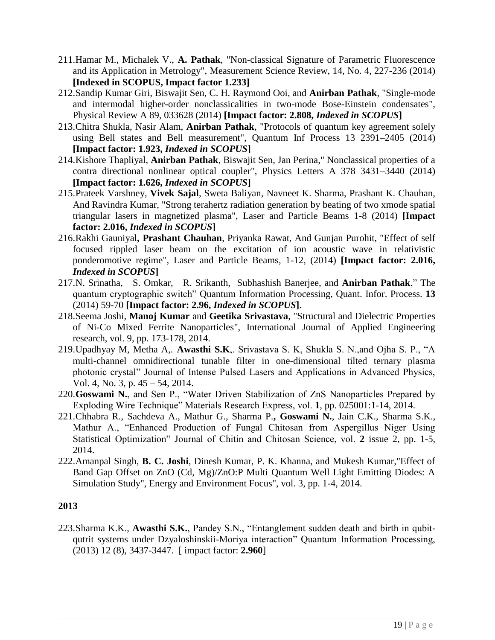- 211.Hamar M., Michalek V., **A. Pathak**, "Non-classical Signature of Parametric Fluorescence and its Application in Metrology", Measurement Science Review, 14, No. 4, 227-236 (2014) **[Indexed in SCOPUS, Impact factor 1.233]**
- 212.Sandip Kumar Giri, Biswajit Sen, C. H. Raymond Ooi, and **Anirban Pathak**, "Single-mode and intermodal higher-order nonclassicalities in two-mode Bose-Einstein condensates", Physical Review A 89, 033628 (2014) **[Impact factor: 2.808,** *Indexed in SCOPUS***]**
- 213.Chitra Shukla, Nasir Alam, **Anirban Pathak**, "Protocols of quantum key agreement solely using Bell states and Bell measurement", Quantum Inf Process 13 2391–2405 (2014) **[Impact factor: 1.923,** *Indexed in SCOPUS***]**
- 214.Kishore Thapliyal, **Anirban Pathak**, Biswajit Sen, Jan Perina," Nonclassical properties of a contra directional nonlinear optical coupler", Physics Letters A 378 3431–3440 (2014) **[Impact factor: 1.626,** *Indexed in SCOPUS***]**
- 215.Prateek Varshney, **Vivek Sajal**, Sweta Baliyan, Navneet K. Sharma, Prashant K. Chauhan, And Ravindra Kumar, "Strong terahertz radiation generation by beating of two xmode spatial triangular lasers in magnetized plasma", Laser and Particle Beams 1-8 (2014) **[Impact factor: 2.016,** *Indexed in SCOPUS***]**
- 216.Rakhi Gauniyal**, Prashant Chauhan**, Priyanka Rawat, And Gunjan Purohit, "Effect of self focused rippled laser beam on the excitation of ion acoustic wave in relativistic ponderomotive regime", Laser and Particle Beams, 1-12, (2014) **[Impact factor: 2.016,**  *Indexed in SCOPUS***]**
- 217.N. Srinatha, S. Omkar, R. Srikanth, Subhashish Banerjee, and **Anirban Pathak**," The quantum cryptographic switch" Quantum Information Processing, Quant. Infor. Process. **13**  (2014) 59-70 **[Impact factor: 2.96,** *Indexed in SCOPUS***]**.
- 218.Seema Joshi, **Manoj Kumar** and **Geetika Srivastava**, ["Structural and Dielectric Properties](http://scholar.google.co.in/scholar?oi=bibs&hl=en&cluster=928075166051086106&btnI=Lucky)  [of Ni-Co Mixed Ferrite Nanoparticles"](http://scholar.google.co.in/scholar?oi=bibs&hl=en&cluster=928075166051086106&btnI=Lucky), International Journal of Applied Engineering research, vol. 9, pp. 173-178, 2014.
- 219.Upadhyay M, Metha A,. **Awasthi S.K**,. Srivastava S. K, Shukla S. N.,and Ojha S. P., "A multi-channel omnidirectional tunable filter in one-dimensional tilted ternary plasma photonic crystal" Journal of Intense Pulsed Lasers and Applications in Advanced Physics, Vol. 4, No. 3, p. 45 – 54, 2014.
- 220.**Goswami N.**, and Sen P., "Water Driven Stabilization of ZnS Nanoparticles Prepared by Exploding Wire Technique" Materials Research Express, vol. **1**, pp. 025001:1-14, 2014.
- 221.Chhabra R., Sachdeva A., Mathur G., Sharma P.**, Goswami N.**, Jain C.K., Sharma S.K., Mathur A., "Enhanced Production of Fungal Chitosan from Aspergillus Niger Using Statistical Optimization" Journal of Chitin and Chitosan Science, vol. **2** issue 2, pp. 1-5, 2014.
- 222.Amanpal Singh, **B. C. Joshi**, Dinesh Kumar, P. K. Khanna, and Mukesh Kumar,"Effect of Band Gap Offset on ZnO (Cd, Mg)/ZnO:P Multi Quantum Well Light Emitting Diodes: A Simulation Study", Energy and Environment Focus", vol. 3, pp. 1-4, 2014.

223.Sharma K.K., **Awasthi S.K.**, Pandey S.N., "Entanglement sudden death and birth in qubitqutrit systems under Dzyaloshinskii-Moriya interaction" Quantum Information Processing, (2013) 12 (8), 3437-3447. [ impact factor: **2.960**]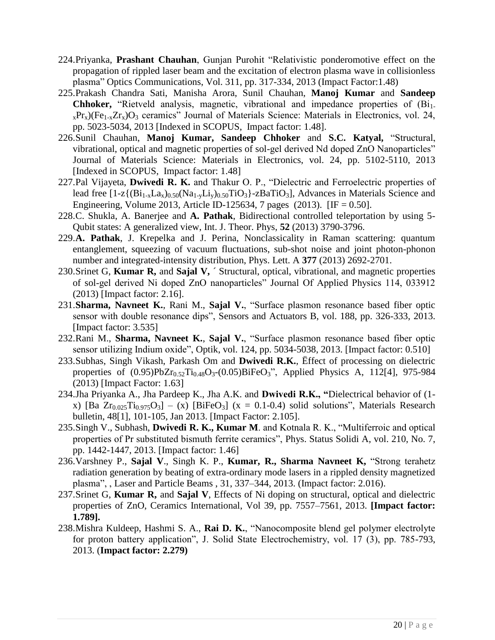- 224.Priyanka, **Prashant Chauhan**, Gunjan Purohit "Relativistic ponderomotive effect on the propagation of rippled laser beam and the excitation of electron plasma wave in collisionless plasma" Optics Communications, Vol. 311, pp. 317-334, 2013 (Impact Factor:1.48)
- 225.Prakash Chandra Sati, Manisha Arora, Sunil Chauhan, **Manoj Kumar** and **Sandeep**  Chhoker, "Rietveld analysis, magnetic, vibrational and impedance properties of (Bi<sub>1-</sub>  $x_{\rm x}$ Pr<sub>x</sub>)(Fe<sub>1-x</sub>Zr<sub>x</sub>)O<sub>3</sub> ceramics" Journal of Materials Science: Materials in Electronics, vol. 24, pp. 5023-5034, 2013 [Indexed in SCOPUS, Impact factor: 1.48].
- 226.Sunil Chauhan, **Manoj Kumar, Sandeep Chhoker** and **S.C. Katyal,** "Structural, vibrational, optical and magnetic properties of sol-gel derived Nd doped ZnO Nanoparticles" Journal of Materials Science: Materials in Electronics, vol. 24, pp. 5102-5110, 2013 [Indexed in SCOPUS, Impact factor: 1.48]
- 227.Pal Vijayeta, **Dwivedi R. K.** and Thakur O. P., "Dielectric and Ferroelectric properties of lead free  $[1-z{(Bi_{1-x}La_x)_{0.50}(Na_{1-y}Li_y)_{0.50}TiO_3} -zBaTiO_3]$ , Advances in Materials Science and Engineering, Volume 2013, Article ID-125634, 7 pages (2013). [IF = 0.50].
- 228.C. Shukla, A. Banerjee and **A. Pathak**, Bidirectional controlled teleportation by using 5- Qubit states: A generalized view, Int. J. Theor. Phys, **52** (2013) 3790-3796.
- 229.**A. Pathak**, J. Krepelka and J. Perina, Nonclassicality in Raman scattering: quantum entanglement, squeezing of vacuum fluctuations, sub-shot noise and joint photon-phonon number and integrated-intensity distribution, Phys. Lett. A **377** (2013) 2692-2701.
- 230.Srinet G, **Kumar R,** and **Sajal V,** ´ Structural, optical, vibrational, and magnetic properties of sol-gel derived Ni doped ZnO nanoparticles" Journal Of Applied Physics 114, 033912 (2013) [Impact factor: 2.16].
- 231.**Sharma, Navneet K.**, Rani M., **Sajal V.**, "Surface plasmon resonance based fiber optic sensor with double resonance dips", Sensors and Actuators B, vol. 188, pp. 326-333, 2013. [Impact factor: 3.535]
- 232.Rani M., **Sharma, Navneet K.**, **Sajal V.**, "Surface plasmon resonance based fiber optic sensor utilizing Indium oxide", Optik, vol. 124, pp. 5034-5038, 2013. [Impact factor: 0.510]
- 233.Subhas, Singh Vikash, Parkash Om and **Dwivedi R.K.**, Ëffect of processing on dielectric properties of  $(0.95)PbZr_{0.52}Ti_{0.48}O_3-(0.05)BiFeO_3$ ", Applied Physics A, 112[4], 975-984 (2013) [Impact Factor: 1.63]
- 234.Jha Priyanka A., Jha Pardeep K., Jha A.K. and **Dwivedi R.K., "**Dielectrical behavior of (1 x) [Ba  $Zr_{0.025}Ti_{0.975}O_3$ ] – (x) [BiFeO<sub>3</sub>] (x = 0.1-0.4) solid solutions", Materials Research bulletin, 48[1], 101-105, Jan 2013. [Impact Factor: 2.105].
- 235.Singh V., Subhash, **Dwivedi R. K., Kumar M**. and Kotnala R. K., "Multiferroic and optical properties of Pr substituted bismuth ferrite ceramics", Phys. Status Solidi A, vol. 210, No. 7, pp. 1442-1447, 2013. [Impact factor: 1.46]
- 236.Varshney P., **Sajal V**., Singh K. P., **Kumar, R., Sharma Navneet K,** "Strong terahetz radiation generation by beating of extra-ordinary mode lasers in a rippled density magnetized plasma", , Laser and Particle Beams , 31, 337–344, 2013. (Impact factor: 2.016).
- 237.Srinet G, **Kumar R,** and **Sajal V**, Effects of Ni doping on structural, optical and dielectric properties of ZnO, Ceramics International, Vol 39, pp. 7557–7561, 2013. **[Impact factor: 1.789].**
- 238.Mishra Kuldeep, Hashmi S. A., **Rai D. K.**, "Nanocomposite blend gel polymer electrolyte for proton battery application", J. Solid State Electrochemistry, vol. 17 (3), pp. 785-793, 2013. (**Impact factor: 2.279)**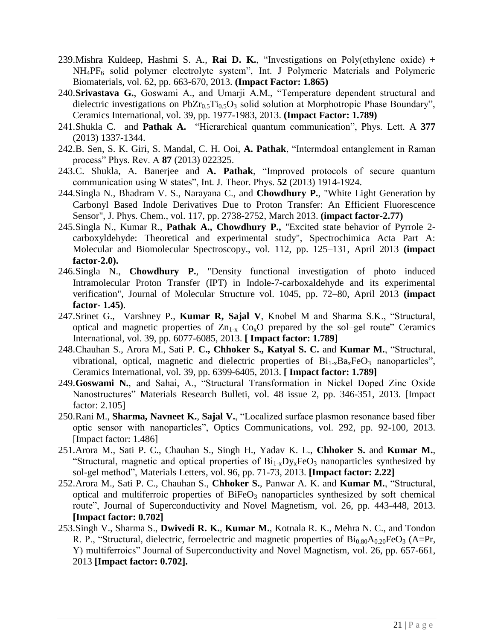- 239.Mishra Kuldeep, Hashmi S. A., **Rai D. K.**, "Investigations on Poly(ethylene oxide) + NH<sub>4</sub>PF<sub>6</sub> solid polymer electrolyte system", Int. J Polymeric Materials and Polymeric Biomaterials, vol. 62, pp. 663-670, 2013. **(Impact Factor: 1.865)**
- 240.**Srivastava G.**, Goswami A., and Umarji A.M., "Temperature dependent structural and dielectric investigations on  $PbZr_{0.5}Ti_{0.5}O_3$  solid solution at Morphotropic Phase Boundary", Ceramics International, vol. 39, pp. 1977-1983, 2013. **(Impact Factor: 1.789)**
- 241.Shukla C. and **Pathak A.** "Hierarchical quantum communication", Phys. Lett. A **377** (2013) 1337-1344.
- 242.B. Sen, S. K. Giri, S. Mandal, C. H. Ooi, **A. Pathak**, "Intermdoal entanglement in Raman process" Phys. Rev. A **87** (2013) 022325.
- 243.C. Shukla, A. Banerjee and **A. Pathak**, "Improved protocols of secure quantum communication using W states", Int. J. Theor. Phys. **52** (2013) 1914-1924.
- 244.Singla N., Bhadram V. S., Narayana C., and **Chowdhury P.**, "White Light Generation by Carbonyl Based Indole Derivatives Due to Proton Transfer: An Efficient Fluorescence Sensor", J. Phys. Chem., vol. 117, pp. 2738-2752, March 2013. **(impact factor-2.77)**
- 245.Singla N., Kumar R., **Pathak A., Chowdhury P.,** "Excited state behavior of Pyrrole 2 carboxyldehyde: Theoretical and experimental study", Spectrochimica Acta Part A: Molecular and Biomolecular Spectroscopy., vol. 112, pp. 125–131, April 2013 **(impact factor-2.0).**
- 246.Singla N., **Chowdhury P.**, "Density functional investigation of photo induced Intramolecular Proton Transfer (IPT) in Indole-7-carboxaldehyde and its experimental verification", Journal of Molecular Structure vol. 1045, pp. 72–80, April 2013 **(impact factor- 1.45)**.
- 247.Srinet G., Varshney P., **Kumar R, Sajal V**, Knobel M and Sharma S.K., "Structural, optical and magnetic properties of  $Zn_{1-x}$  Co<sub>x</sub>O prepared by the sol–gel route" Ceramics International, vol. 39, pp. 6077-6085, 2013. **[ Impact factor: 1.789]**
- 248.Chauhan S., Arora M., Sati P. **C., Chhoker S., Katyal S. C.** and **Kumar M.**, "Structural, vibrational, optical, magnetic and dielectric properties of  $Bi_{1-x}Ba_xFeO_3$  nanoparticles", Ceramics International, vol. 39, pp. 6399-6405, 2013. **[ Impact factor: 1.789]**
- 249.**Goswami N.**, and Sahai, A., "Structural Transformation in Nickel Doped Zinc Oxide Nanostructures" Materials Research Bulleti, vol. 48 issue 2, pp. 346-351, 2013. [Impact factor: 2.105]
- 250.Rani M., **Sharma, Navneet K.**, **Sajal V.**, "Localized surface plasmon resonance based fiber optic sensor with nanoparticles", Optics Communications, vol. 292, pp. 92-100, 2013. [Impact factor: 1.486]
- 251.Arora M., Sati P. C., Chauhan S., Singh H., Yadav K. L., **Chhoker S.** and **Kumar M.**, "Structural, magnetic and optical properties of  $Bi_{1-x}D_{y_x}FeO_3$  nanoparticles synthesized by sol-gel method", Materials Letters, vol. 96, pp. 71-73, 2013. **[Impact factor: 2.22]**
- 252.Arora M., Sati P. C., Chauhan S., **Chhoker S.**, Panwar A. K. and **Kumar M.**, "Structural, optical and multiferroic properties of  $BiFeO<sub>3</sub>$  nanoparticles synthesized by soft chemical route", Journal of Superconductivity and Novel Magnetism, vol. 26, pp. 443-448, 2013. **[Impact factor: 0.702]**
- 253.Singh V., Sharma S., **Dwivedi R. K.**, **Kumar M.**, Kotnala R. K., Mehra N. C., and Tondon R. P., "Structural, dielectric, ferroelectric and magnetic properties of  $\rm{Bi}_{0.80}A_{0.20}FeO<sub>3</sub>$  (A=Pr, Y) multiferroics" Journal of Superconductivity and Novel Magnetism, vol. 26, pp. 657-661, 2013 **[Impact factor: 0.702].**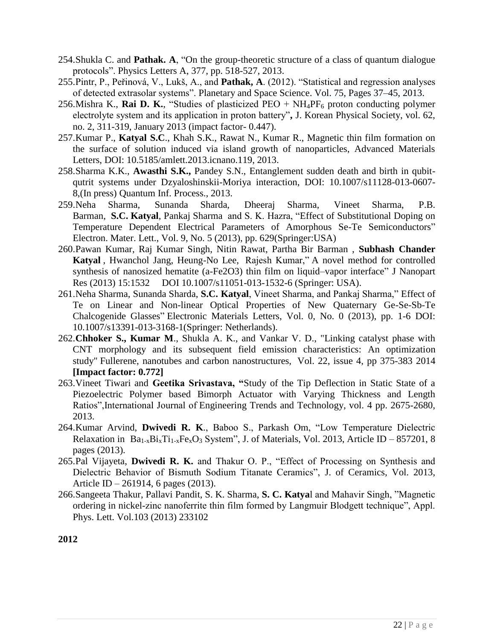- 254.Shukla C. and **Pathak. A**, "On the group-theoretic structure of a class of quantum dialogue protocols". Physics Letters A, 377, pp. 518-527, 2013.
- 255.Pintr, P., Peřinová, V., Lukš, A., and **Pathak, A**. (2012). "Statistical and regression analyses of detected extrasolar systems". Planetary and Space Science. Vol. 75, Pages 37–45, 2013.
- 256.Mishra K., **Rai D. K.**, "Studies of plasticized  $PEO + NH_4PF_6$  proton conducting polymer electrolyte system and its application in proton battery"**,** J. Korean Physical Society, vol. 62, no. 2, 311-319, January 2013 (impact factor- 0.447).
- 257.Kumar P., **Katyal S.C**., Khah S.K., Rawat N., Kumar R., Magnetic thin film formation on the surface of solution induced via island growth of nanoparticles, Advanced Materials Letters, DOI: 10.5185/amlett.2013.icnano.119, 2013.
- 258.Sharma K.K., **Awasthi S.K.,** Pandey S.N., Entanglement sudden death and birth in qubitqutrit systems under Dzyaloshinskii-Moriya interaction, DOI: 10.1007/s11128-013-0607- 8,(In press) Quantum Inf. Process., 2013.
- 259.Neha Sharma, Sunanda Sharda, Dheeraj Sharma, Vineet Sharma, P.B. Barman, **S.C. Katyal**, Pankaj Sharma and S. K. Hazra, "Effect of Substitutional Doping on Temperature Dependent Electrical Parameters of Amorphous Se-Te Semiconductors" Electron. Mater. Lett., Vol. 9, No. 5 (2013), pp. 629(Springer:USA)
- 260.Pawan Kumar, Raj Kumar Singh, Nitin Rawat, Partha Bir Barman , **Subhash Chander Katyal** , Hwanchol Jang, Heung-No Lee, Rajesh Kumar," A novel method for controlled synthesis of nanosized hematite (a-Fe2O3) thin film on liquid–vapor interface" J Nanopart Res (2013) 15:1532 DOI 10.1007/s11051-013-1532-6 (Springer: USA).
- 261.Neha Sharma, Sunanda Sharda, **S.C. Katyal**, Vineet Sharma, and Pankaj Sharma," Effect of Te on Linear and Non-linear Optical Properties of New Quaternary Ge-Se-Sb-Te Chalcogenide Glasses" Electronic Materials Letters, Vol. 0, No. 0 (2013), pp. 1-6 DOI: 10.1007/s13391-013-3168-1(Springer: Netherlands).
- 262.**Chhoker S., Kumar M**., Shukla A. K., and Vankar V. D., "Linking catalyst phase with CNT morphology and its subsequent field emission characteristics: An optimization study" Fullerene, nanotubes and carbon nanostructures, Vol. 22, issue 4, pp 375-383 2014 **[Impact factor: 0.772]**
- 263.Vineet Tiwari and **Geetika Srivastava, "**Study of the Tip Deflection in Static State of a Piezoelectric Polymer based Bimorph Actuator with Varying Thickness and Length Ratios",International Journal of Engineering Trends and Technology, vol. 4 pp. 2675-2680, 2013.
- 264.Kumar Arvind, **Dwivedi R. K**., Baboo S., Parkash Om, "Low Temperature Dielectric Relaxation in  $Ba_{1-x}Bi_xTi_{1-x}Fe_xO_3$  System", J. of Materials, Vol. 2013, Article ID – 857201, 8 pages (2013).
- 265.Pal Vijayeta, **Dwivedi R. K.** and Thakur O. P., "Effect of Processing on Synthesis and Dielectric Behavior of Bismuth Sodium Titanate Ceramics", J. of Ceramics, Vol. 2013, Article ID – 261914, 6 pages (2013).
- 266.Sangeeta Thakur, Pallavi Pandit, S. K. Sharma, **S. C. Katya**l and Mahavir Singh, "Magnetic ordering in nickel-zinc nanoferrite thin film formed by Langmuir Blodgett technique", Appl. Phys. Lett. Vol.103 (2013) 233102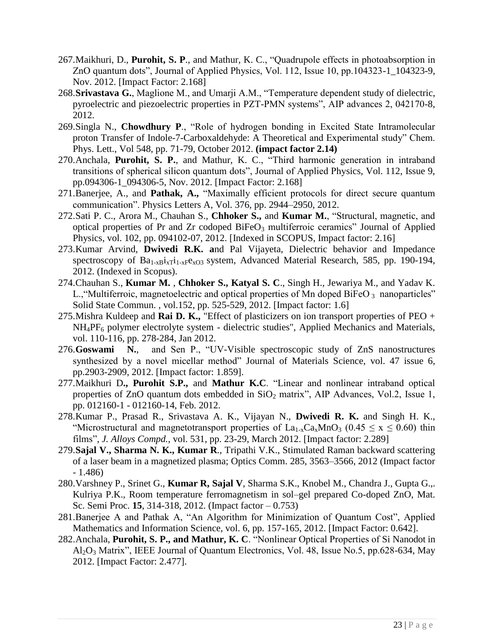- 267.Maikhuri, D., **Purohit, S. P**., and Mathur, K. C., "Quadrupole effects in photoabsorption in ZnO quantum dots", Journal of Applied Physics, Vol. 112, Issue 10, pp.104323-1\_104323-9, Nov. 2012. [Impact Factor: 2.168]
- 268.**Srivastava G.**, Maglione M., and Umarji A.M., "Temperature dependent study of dielectric, pyroelectric and piezoelectric properties in PZT-PMN systems", AIP advances 2, 042170-8, 2012.
- 269.Singla N., **Chowdhury P**., "Role of hydrogen bonding in Excited State Intramolecular proton Transfer of Indole-7-Carboxaldehyde: A Theoretical and Experimental study" Chem. Phys. Lett., Vol 548, pp. 71-79, October 2012. **(impact factor 2.14)**
- 270.Anchala, **Purohit, S. P.**, and Mathur, K. C., "Third harmonic generation in intraband transitions of spherical silicon quantum dots", Journal of Applied Physics, Vol. 112, Issue 9, pp.094306-1\_094306-5, Nov. 2012. [Impact Factor: 2.168]
- 271.Banerjee, A., and **Pathak, A.,** "Maximally efficient protocols for direct secure quantum communication". Physics Letters A, Vol. 376, pp. 2944–2950, 2012.
- 272.Sati P. C., Arora M., Chauhan S., **Chhoker S.,** and **Kumar M.**, "Structural, magnetic, and optical properties of Pr and Zr codoped  $BiFeO<sub>3</sub>$  multiferroic ceramics" Journal of Applied Physics, vol. 102, pp. 094102-07, 2012. [Indexed in SCOPUS, Impact factor: 2.16]
- 273.Kumar Arvind, **Dwivedi R.K. a**nd Pal Vijayeta, Dielectric behavior and Impedance spectroscopy of  $Ba_{1-x}B_{x}i_{x}Ti_{1-x}Fe_{xO3}$  system, Advanced Material Research, 585, pp. 190-194, 2012. (Indexed in Scopus).
- 274.Chauhan S., **Kumar M.** , **Chhoker S., Katyal S. C**., Singh H., Jewariya M., and Yadav K. L., "Multiferroic, magnetoelectric and optical properties of Mn doped BiFeO  $_3$  nanoparticles" Solid State Commun. , vol.152, pp. 525-529, 2012. [Impact factor: 1.6]
- 275.Mishra Kuldeep and **Rai D. K.,** "Effect of plasticizers on ion transport properties of PEO + NH<sub>4</sub>PF<sub>6</sub> polymer electrolyte system - dielectric studies", Applied Mechanics and Materials, vol. 110-116, pp. 278-284, Jan 2012.
- 276.**Goswami N.**, and Sen P., "UV-Visible spectroscopic study of ZnS nanostructures synthesized by a novel micellar method" Journal of Materials Science, vol. 47 issue 6, pp.2903-2909, 2012. [Impact factor: 1.859].
- 277.Maikhuri D**., Purohit S.P.,** and **Mathur K.C**. "Linear and nonlinear intraband optical properties of ZnO quantum dots embedded in  $SiO<sub>2</sub>$  matrix", AIP Advances, Vol.2, Issue 1, pp. 012160-1 - 012160-14, Feb. 2012.
- 278.Kumar P., Prasad R., Srivastava A. K., Vijayan N., **Dwivedi R. K.** and Singh H. K., "Microstructural and magnetotransport properties of  $La_{1-x}Ca_xMnO_3$  (0.45  $\leq$  x  $\leq$  0.60) thin films", *J. Alloys Compd.*, vol. 531, pp. 23-29, March 2012. [Impact factor: 2.289]
- 279.**Sajal V., Sharma N. K., Kumar R**., Tripathi V.K., Stimulated Raman backward scattering of a laser beam in a magnetized plasma; Optics Comm. 285, 3563–3566, 2012 (Impact factor - 1.486)
- 280.Varshney P., Srinet G., **Kumar R, Sajal V**, Sharma S.K., Knobel M., Chandra J., Gupta G.,. Kulriya P.K., Room temperature ferromagnetism in sol–gel prepared Co-doped ZnO, Mat. Sc. Semi Proc. **15**, 314-318, 2012. (Impact factor – 0.753)
- 281.Banerjee A and Pathak A, "An Algorithm for Minimization of Quantum Cost", Applied Mathematics and Information Science, vol. 6, pp. 157-165, 2012. [Impact Factor: 0.642].
- 282.Anchala, **Purohit, S. P., and Mathur, K. C**. "Nonlinear Optical Properties of Si Nanodot in Al2O<sup>3</sup> Matrix", IEEE Journal of Quantum Electronics, Vol. 48, Issue No.5, pp.628-634, May 2012. [Impact Factor: 2.477].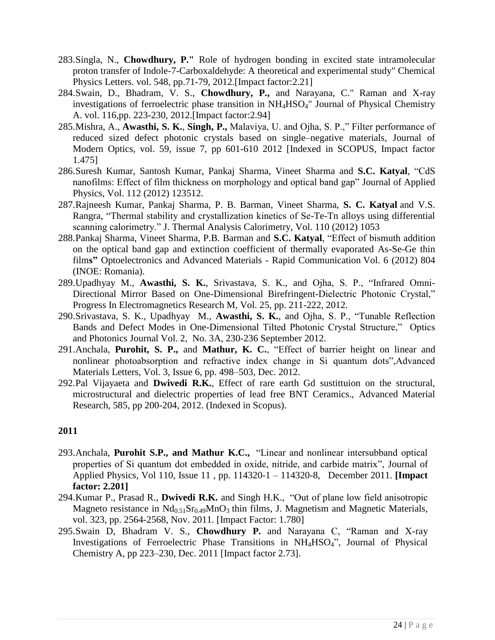- 283.Singla, N., **Chowdhury, P."** Role of hydrogen bonding in excited state intramolecular proton transfer of Indole-7-Carboxaldehyde: A theoretical and experimental study" Chemical Physics Letters. vol. 548, pp.71-79, 2012.[Impact factor:2.21]
- 284.Swain, D., Bhadram, V. S., **Chowdhury, P.,** and Narayana, C." Raman and X-ray investigations of ferroelectric phase transition in NH4HSO4" Journal of Physical Chemistry A. vol. 116,pp. 223-230, 2012.[Impact factor:2.94]
- 285.Mishra, A., **Awasthi, S. K.**, **Singh, P.,** Malaviya, U. and Ojha, S. P.," Filter performance of reduced sized defect photonic crystals based on single–negative materials, Journal of Modern Optics, vol. 59, issue 7, pp 601-610 2012 [Indexed in SCOPUS, Impact factor 1.475]
- 286.Suresh Kumar, Santosh Kumar, Pankaj Sharma, Vineet Sharma and **S.C. Katyal**, "CdS nanofilms: Effect of film thickness on morphology and optical band gap" Journal of Applied Physics, Vol. 112 (2012) 123512.
- 287.Rajneesh Kumar, Pankaj Sharma, P. B. Barman, Vineet Sharma, **S. C. Katyal** and V.S. Rangra, "Thermal stability and crystallization kinetics of Se-Te-Tn alloys using differential scanning calorimetry." J. Thermal Analysis Calorimetry, Vol. 110 (2012) 1053
- 288.Pankaj Sharma, Vineet Sharma, P.B. Barman and **S.C. Katyal**, "Effect of bismuth addition on the optical band gap and extinction coefficient of thermally evaporated As-Se-Ge thin film**s"** Optoelectronics and Advanced Materials - Rapid Communication Vol. 6 (2012) 804 (INOE: Romania).
- 289.Upadhyay M., **Awasthi, S. K.**, Srivastava, S. K., and Ojha, S. P., "Infrared Omni-Directional Mirror Based on One-Dimensional Birefringent-Dielectric Photonic Crystal," Progress In Electromagnetics Research M, Vol. 25, pp. 211-222, 2012.
- 290.Srivastava, S. K., Upadhyay M., **Awasthi, S. K.**, and Ojha, S. P., "Tunable Reflection Bands and Defect Modes in One-Dimensional Tilted Photonic Crystal Structure," Optics and Photonics Journal Vol. 2, No. 3A, 230-236 September 2012.
- 291.Anchala, **Purohit, S. P.,** and **Mathur, K. C.**, "Effect of barrier height on linear and nonlinear photoabsorption and refractive index change in Si quantum dots",Advanced Materials Letters, Vol. 3, Issue 6, pp. 498–503, Dec. 2012.
- 292.Pal Vijayaeta and **Dwivedi R.K.**, Effect of rare earth Gd sustittuion on the structural, microstructural and dielectric properties of lead free BNT Ceramics., Advanced Material Research, 585, pp 200-204, 2012. (Indexed in Scopus).

- 293.Anchala, **Purohit S.P., and Mathur K.C.,** "Linear and nonlinear intersubband optical properties of Si quantum dot embedded in oxide, nitride, and carbide matrix", Journal of Applied Physics, Vol 110, Issue 11 , pp. 114320-1 – 114320-8, December 2011. **[Impact factor: 2.201]**
- 294.Kumar P., Prasad R., **Dwivedi R.K.** and Singh H.K., "Out of plane low field anisotropic Magneto resistance in  $Nd<sub>0.51</sub>Sr<sub>0.49</sub>MnO<sub>3</sub>$  thin films, J. Magnetism and Magnetic Materials, vol. 323, pp. 2564-2568, Nov. 2011. [Impact Factor: 1.780]
- 295.Swain D, Bhadram V. S., **Chowdhury P.** and Narayana C, "Raman and X-ray Investigations of Ferroelectric Phase Transitions in NH4HSO4", Journal of Physical Chemistry A, pp 223–230, Dec. 2011 [Impact factor 2.73].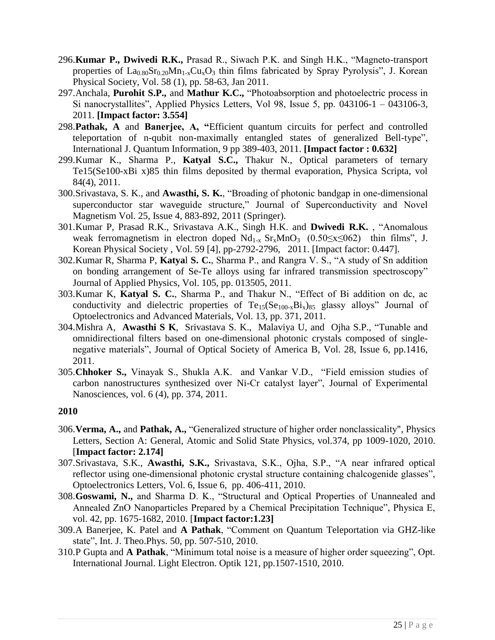- 296.**Kumar P., Dwivedi R.K.,** Prasad R., Siwach P.K. and Singh H.K., "Magneto-transport properties of  $La_{0.80}Sr_{0.20}Mn_{1-x}Cu_xO_3$  thin films fabricated by Spray Pyrolysis", J. Korean Physical Society, Vol. 58 (1), pp. 58-63, Jan 2011.
- 297.Anchala, **Purohit S.P.,** and **Mathur K.C.,** "Photoabsorption and photoelectric process in Si nanocrystallites", Applied Physics Letters, Vol 98, Issue 5, pp. 043106-1 – 043106-3, 2011. **[Impact factor: 3.554]**
- 298.**Pathak, A** and **Banerjee, A, "**Efficient quantum circuits for perfect and controlled teleportation of n-qubit non-maximally entangled states of generalized Bell-type", International J. Quantum Information, 9 pp 389-403, 2011. **[Impact factor : 0.632]**
- 299.Kumar K., Sharma P., **Katyal S.C.,** Thakur N., Optical parameters of ternary Te15(Se100-xBi x)85 thin films deposited by thermal evaporation, Physica Scripta, vol 84(4), 2011.
- 300.Srivastava, S. K., and **Awasthi, S. K.**, "Broading of photonic bandgap in one-dimensional superconductor star waveguide structure," Journal of Superconductivity and Novel Magnetism Vol. 25, Issue 4, 883-892, 2011 (Springer).
- 301.Kumar P, Prasad R.K., Srivastava A.K., Singh H.K. and **Dwivedi R.K.** , "Anomalous weak ferromagnetism in electron doped  $Nd_{1-x} Sr_x MnO_3$  (0.50≤x≤062) thin films", J. Korean Physical Society , Vol. 59 [4], pp-2792-2796, 2011. [Impact factor: 0.447].
- 302.Kumar R, Sharma P, **Katya**l **S. C.**, Sharma P., and Rangra V. S., "A study of Sn addition on bonding arrangement of Se-Te alloys using far infrared transmission spectroscopy" Journal of Applied Physics, Vol. 105, pp. 013505, 2011.
- 303.Kumar K, **Katyal S. C.**, Sharma P., and Thakur N., "Effect of Bi addition on dc, ac conductivity and dielectric properties of  $Te_{15}(Se_{100-x}Bi_x)_{85}$  glassy alloys" Journal of Optoelectronics and Advanced Materials, Vol. 13, pp. 371, 2011.
- 304[.Mishra](javascript:searchAuthor() A, **[Awasthi](javascript:searchAuthor() S K**, [Srivastava](javascript:searchAuthor() S. K., [Malaviya](javascript:searchAuthor() U, and [Ojha](javascript:searchAuthor() S.P., "Tunable and omnidirectional filters based on one-dimensional photonic crystals composed of singlenegative materials", Journal of Optical Society of America B, Vol. 28, Issue 6, pp.1416, 2011.
- 305.**Chhoker S.,** Vinayak S., Shukla A.K. and Vankar V.D., "Field emission studies of carbon nanostructures synthesized over Ni-Cr catalyst layer", Journal of Experimental Nanosciences, vol. 6 (4), pp. 374, 2011.

- 306.**Verma, A.,** and **Pathak, A.,** "Generalized structure of higher order nonclassicality", Physics Letters, Section A: General, Atomic and Solid State Physics, vol.374, pp 1009-1020, 2010. [**Impact factor: 2.174]**
- 307.Srivastava, S.K., **Awasthi, S.K.,** Srivastava, S.K., Ojha, S.P., "A near infrared optical reflector using one-dimensional photonic crystal structure containing chalcogenide glasses", Optoelectronics Letters, Vol. 6, Issue 6, pp. 406-411, 2010.
- 308.**Goswami, N.,** and Sharma D. K., "Structural and Optical Properties of Unannealed and Annealed ZnO Nanoparticles Prepared by a Chemical Precipitation Technique", Physica E, vol. 42, pp. 1675-1682, 2010. [**Impact factor:1.23]**
- 309.A Banerjee, K. Patel and **A Pathak**, "Comment on Quantum Teleportation via GHZ-like state", Int. J. Theo.Phys. 50, pp. 507-510, 2010.
- 310.P Gupta and **A Pathak**, "Minimum total noise is a measure of higher order squeezing", Opt. International Journal. Light Electron. Optik 121, pp.1507-1510, 2010.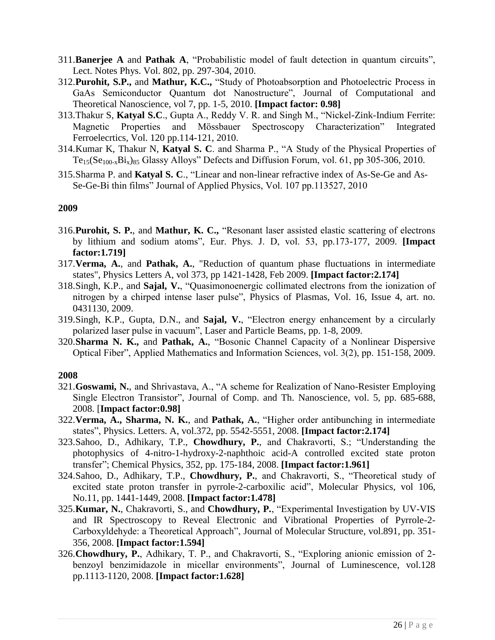- 311.**Banerjee A** and **Pathak A**, "Probabilistic model of fault detection in quantum circuits", Lect. Notes Phys. Vol. 802, pp. 297-304, 2010.
- 312.**Purohit, S.P.,** and **Mathur, K.C.,** "Study of Photoabsorption and Photoelectric Process in GaAs Semiconductor Quantum dot Nanostructure", Journal of Computational and Theoretical Nanoscience, vol 7, pp. 1-5, 2010. **[Impact factor: 0.98]**
- 313.Thakur S, **Katyal S.C**., Gupta A., Reddy V. R. and Singh M., "Nickel-Zink-Indium Ferrite: Magnetic Properties and Mössbauer Spectroscopy Characterization" Integrated Ferroelecrtics, Vol. 120 pp.114-121, 2010.
- 314.Kumar K, Thakur N, **Katyal S. C**. and Sharma P., "A Study of the Physical Properties of  $Te_{15}(Se_{100-x}Bi_x)_{85}$  Glassy Alloys" Defects and Diffusion Forum, vol. 61, pp 305-306, 2010.
- 315.Sharma P. and **Katyal S. C**., "Linear and non-linear refractive index of As-Se-Ge and As-Se-Ge-Bi thin films" Journal of Applied Physics, Vol. 107 pp.113527, 2010

- 316.**Purohit, S. P.**, and **Mathur, K. C.,** "Resonant laser assisted elastic scattering of electrons by lithium and sodium atoms", Eur. Phys. J. D, vol. 53, pp.173-177, 2009. **[Impact factor:1.719]**
- 317.**Verma, A.**, and **Pathak, A.**, "Reduction of quantum phase fluctuations in intermediate states", Physics Letters A, vol 373, pp 1421-1428, Feb 2009. **[Impact factor:2.174]**
- 318.Singh, K.P., and **Sajal, V.**, "Quasimonoenergic collimated electrons from the ionization of nitrogen by a chirped intense laser pulse", Physics of Plasmas, Vol. 16, Issue 4, art. no. 0431130, 2009.
- 319.Singh, K.P., Gupta, D.N., and **Sajal, V.**, "Electron energy enhancement by a circularly polarized laser pulse in vacuum", Laser and Particle Beams, pp. 1-8, 2009.
- 320.**Sharma N. K.,** and **Pathak, A.**, "Bosonic Channel Capacity of a Nonlinear Dispersive Optical Fiber", Applied Mathematics and Information Sciences, vol. 3(2), pp. 151-158, 2009.

- 321.**Goswami, N.**, and Shrivastava, A., "A scheme for Realization of Nano-Resister Employing Single Electron Transistor", Journal of Comp. and Th. Nanoscience, vol. 5, pp. 685-688, 2008. [**Impact factor:0.98]**
- 322.**Verma, A., Sharma, N. K.**, and **Pathak, A.**, "Higher order antibunching in intermediate states", Physics. Letters. A, vol.372, pp. 5542-5551, 2008. **[Impact factor:2.174]**
- 323.Sahoo, D., Adhikary, T.P., **Chowdhury, P.**, and Chakravorti, S.; "Understanding the photophysics of 4-nitro-1-hydroxy-2-naphthoic acid-A controlled excited state proton transfer"; Chemical Physics, 352, pp. 175-184, 2008. **[Impact factor:1.961]**
- 324.Sahoo, D., Adhikary, T.P., **Chowdhury, P.**, and Chakravorti, S., "Theoretical study of excited state proton transfer in pyrrole-2-carboxilic acid", Molecular Physics, vol 106, No.11, pp. 1441-1449, 2008. **[Impact factor:1.478]**
- 325.**Kumar, N.**, Chakravorti, S., and **Chowdhury, P.**, "Experimental Investigation by UV-VIS and IR Spectroscopy to Reveal Electronic and Vibrational Properties of Pyrrole-2- Carboxyldehyde: a Theoretical Approach", Journal of Molecular Structure, vol.891, pp. 351- 356, 2008. **[Impact factor:1.594]**
- 326.**Chowdhury, P.**, Adhikary, T. P., and Chakravorti, S., "Exploring anionic emission of 2 benzoyl benzimidazole in micellar environments", Journal of Luminescence, vol.128 pp.1113-1120, 2008. **[Impact factor:1.628]**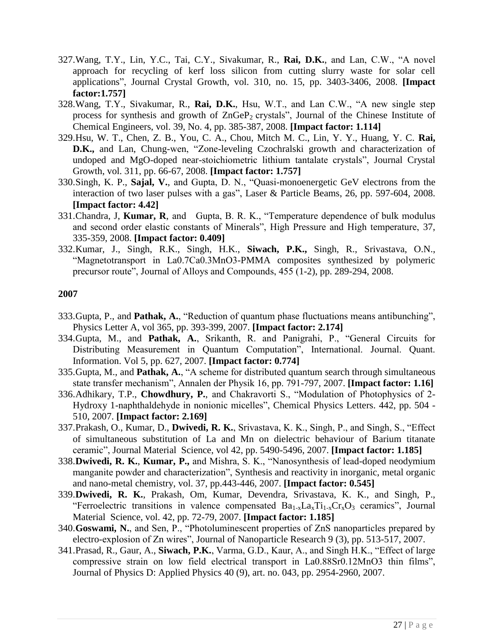- 327.Wang, T.Y., Lin, Y.C., Tai, C.Y., Sivakumar, R., **Rai, D.K.**, and Lan, C.W., "A novel approach for recycling of kerf loss silicon from cutting slurry waste for solar cell applications", Journal Crystal Growth, vol. 310, no. 15, pp. 3403-3406, 2008. **[Impact factor:1.757]**
- 328.Wang, T.Y., Sivakumar, R., **Rai, D.K.**, Hsu, W.T., and Lan C.W., "A new single step process for synthesis and growth of  $ZnGeP_2$  crystals", Journal of the Chinese Institute of Chemical Engineers, vol. 39, No. 4, pp. 385-387, 2008. **[Impact factor: 1.114]**
- 329.Hsu, W. T., Chen, Z. B., You, C. A., Chou, Mitch M. C., Lin, Y. Y., Huang, Y. C. **Rai, D.K.,** and Lan, Chung-wen, "Zone-leveling Czochralski growth and characterization of undoped and MgO-doped near-stoichiometric lithium tantalate crystals", Journal Crystal Growth, vol. 311, pp. 66-67, 2008. **[Impact factor: 1.757]**
- 330.Singh, K. P., **Sajal, V.**, and Gupta, D. N., "Quasi-monoenergetic GeV electrons from the interaction of two laser pulses with a gas", Laser & Particle Beams, 26, pp. 597-604, 2008. **[Impact factor: 4.42]**
- 331.Chandra, J, **Kumar, R**, and Gupta, B. R. K., "Temperature dependence of bulk modulus and second order elastic constants of Minerals", High Pressure and High temperature, 37, 335-359, 2008. **[Impact factor: 0.409]**
- 332.Kumar, J., Singh, R.K., Singh, H.K., **Siwach, P.K.,** Singh, R., Srivastava, O.N., "Magnetotransport in La0.7Ca0.3MnO3-PMMA composites synthesized by polymeric precursor route", Journal of Alloys and Compounds, 455 (1-2), pp. 289-294, 2008.

- 333.Gupta, P., and **Pathak, A.**, "Reduction of quantum phase fluctuations means antibunching", Physics Letter A, vol 365, pp. 393-399, 2007. **[Impact factor: 2.174]**
- 334.Gupta, M., and **Pathak, A.**, Srikanth, R. and Panigrahi, P., "General Circuits for Distributing Measurement in Quantum Computation", International. Journal. Quant. Information. Vol 5, pp. 627, 2007. **[Impact factor: 0.774]**
- 335.Gupta, M., and **Pathak, A.**, "A scheme for distributed quantum search through simultaneous state transfer mechanism", Annalen der Physik 16, pp. 791-797, 2007. **[Impact factor: 1.16]**
- 336.Adhikary, T.P., **Chowdhury, P.**, and Chakravorti S., "Modulation of Photophysics of 2- Hydroxy 1-naphthaldehyde in nonionic micelles", Chemical Physics Letters. 442, pp. 504 - 510, 2007. **[Impact factor: 2.169]**
- 337.Prakash, O., Kumar, D., **Dwivedi, R. K.**, Srivastava, K. K., Singh, P., and Singh, S., "Effect of simultaneous substitution of La and Mn on dielectric behaviour of Barium titanate ceramic", Journal Material Science, vol 42, pp. 5490-5496, 2007. **[Impact factor: 1.185]**
- 338.**Dwivedi, R. K.**, **Kumar, P.,** and Mishra, S. K., "Nanosynthesis of lead-doped neodymium manganite powder and characterization", Synthesis and reactivity in inorganic, metal organic and nano-metal chemistry, vol. 37, pp.443-446, 2007. **[Impact factor: 0.545]**
- 339.**Dwivedi, R. K.**, Prakash, Om, Kumar, Devendra, Srivastava, K. K., and Singh, P., "Ferroelectric transitions in valence compensated  $Ba_{1-x}La_{x}Ti_{1-x}Cr_{x}O_{3}$  ceramics", Journal Material Science, vol. 42, pp. 72-79, 2007. **[Impact factor: 1.185]**
- 340.**Goswami, N.**, and Sen, P., "Photoluminescent properties of ZnS nanoparticles prepared by electro-explosion of Zn wires", Journal of Nanoparticle Research 9 (3), pp. 513-517, 2007.
- 341.Prasad, R., Gaur, A., **Siwach, P.K.**, Varma, G.D., Kaur, A., and Singh H.K., "Effect of large compressive strain on low field electrical transport in La0.88Sr0.12MnO3 thin films", Journal of Physics D: Applied Physics 40 (9), art. no. 043, pp. 2954-2960, 2007.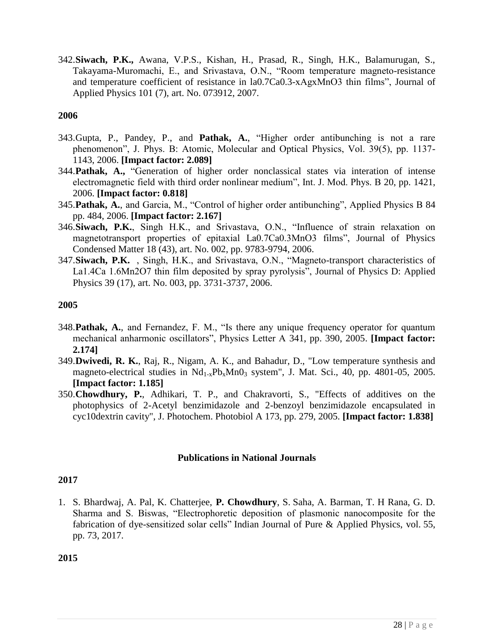342.**Siwach, P.K.,** Awana, V.P.S., Kishan, H., Prasad, R., Singh, H.K., Balamurugan, S., Takayama-Muromachi, E., and Srivastava, O.N., "Room temperature magneto-resistance and temperature coefficient of resistance in la0.7Ca0.3-xAgxMnO3 thin films", Journal of Applied Physics 101 (7), art. No. 073912, 2007.

### **2006**

- 343.Gupta, P., Pandey, P., and **Pathak, A.**, "Higher order antibunching is not a rare phenomenon", J. Phys. B: Atomic, Molecular and Optical Physics, Vol. 39(5), pp. 1137- 1143, 2006. **[Impact factor: 2.089]**
- 344.**Pathak, A.,** "Generation of higher order nonclassical states via interation of intense electromagnetic field with third order nonlinear medium", Int. J. Mod. Phys. B 20, pp. 1421, 2006. **[Impact factor: 0.818]**
- 345.**Pathak, A.**, and Garcia, M., "Control of higher order antibunching", Applied Physics B 84 pp. 484, 2006. **[Impact factor: 2.167]**
- 346.**Siwach, P.K.**, Singh H.K., and Srivastava, O.N., "Influence of strain relaxation on magnetotransport properties of epitaxial La0.7Ca0.3MnO3 films", Journal of Physics Condensed Matter 18 (43), art. No. 002, pp. 9783-9794, 2006.
- 347.**Siwach, P.K.** , Singh, H.K., and Srivastava, O.N., "Magneto-transport characteristics of La1.4Ca 1.6Mn2O7 thin film deposited by spray pyrolysis", Journal of Physics D: Applied Physics 39 (17), art. No. 003, pp. 3731-3737, 2006.

### **2005**

- 348.**Pathak, A.**, and Fernandez, F. M., "Is there any unique frequency operator for quantum mechanical anharmonic oscillators", Physics Letter A 341, pp. 390, 2005. **[Impact factor: 2.174]**
- 349.**Dwivedi, R. K.**, Raj, R., Nigam, A. K., and Bahadur, D., "Low temperature synthesis and magneto-electrical studies in  $Nd_{1-x}Pb_xMn0_3$  system", J. Mat. Sci., 40, pp. 4801-05, 2005. **[Impact factor: 1.185]**
- 350.**Chowdhury, P.**, Adhikari, T. P., and Chakravorti, S., "Effects of additives on the photophysics of 2-Acetyl benzimidazole and 2-benzoyl benzimidazole encapsulated in cyc10dextrin cavity", J. Photochem. Photobiol A 173, pp. 279, 2005. **[Impact factor: 1.838]**

### **Publications in National Journals**

### **2017**

1. S. Bhardwaj, A. Pal, K. Chatterjee, **P. Chowdhury**, S. Saha, A. Barman, T. H Rana, G. D. Sharma and S. Biswas, "Electrophoretic deposition of plasmonic nanocomposite for the fabrication of dye-sensitized solar cells" Indian Journal of Pure & Applied Physics, vol. 55, pp. 73, 2017.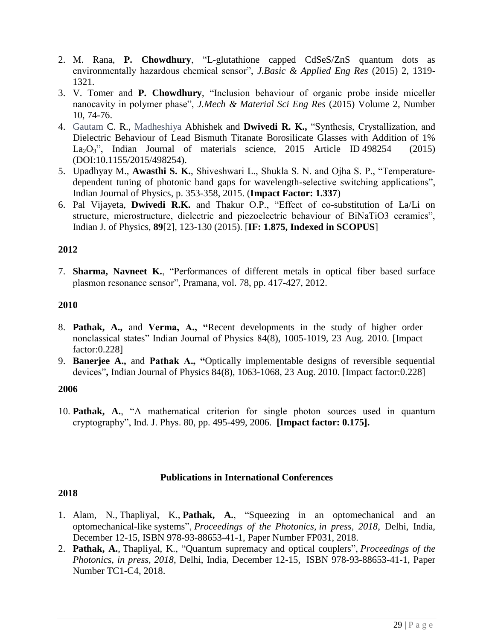- 2. M. Rana, **P. Chowdhury**, "L-glutathione capped CdSeS/ZnS quantum dots as environmentally hazardous chemical sensor", *J.Basic & Applied Eng Res* (2015) 2, 1319- 1321.
- 3. V. Tomer and **P. Chowdhury**, "Inclusion behaviour of organic probe inside miceller nanocavity in polymer phase", *J.Mech & Material Sci Eng Res* (2015) Volume 2, Number 10, 74-76.
- 4. [Gautam](https://www.researchgate.net/researcher/74688026_C_R_Gautam) C. R., [Madheshiya](https://www.researchgate.net/researcher/2055121167_Abhishek_Madheshiya) Abhishek and **Dwivedi R. K.,** "Synthesis, Crystallization, and Dielectric Behaviour of Lead Bismuth Titanate Borosilicate Glasses with Addition of 1% La<sub>2</sub>O<sub>3</sub>", Indian Journal of materials science, 2015 Article ID 498254 (2015) (DOI:10.1155/2015/498254).
- 5. Upadhyay M., **Awasthi S. K.**, Shiveshwari L., Shukla S. N. and Ojha S. P., "Temperaturedependent tuning of photonic band gaps for wavelength-selective switching applications", Indian Journal of Physics, p. 353-358, 2015. (**Impact Factor: 1.337**)
- 6. Pal Vijayeta, **Dwivedi R.K.** and Thakur O.P., "Effect of co-substitution of La/Li on structure, microstructure, dielectric and piezoelectric behaviour of BiNaTiO3 ceramics", Indian J. of Physics, **89**[2], 123-130 (2015). [**IF: 1.875, Indexed in SCOPUS**]

7. **Sharma, Navneet K.**, "Performances of different metals in optical fiber based surface plasmon resonance sensor", Pramana, vol. 78, pp. 417-427, 2012.

### **2010**

- 8. **Pathak, A.,** and **Verma, A., "**Recent developments in the study of higher order nonclassical states" Indian Journal of Physics 84(8), 1005-1019, 23 Aug. 2010. [Impact factor:0.228]
- 9. **Banerjee A.,** and **Pathak A., "**Optically implementable designs of reversible sequential devices"**,** Indian Journal of Physics 84(8), 1063-1068, 23 Aug. 2010. [Impact factor:0.228]

### **2006**

10. **Pathak, A.**, "A mathematical criterion for single photon sources used in quantum cryptography", Ind. J. Phys. 80, pp. 495-499, 2006. **[Impact factor: 0.175].**

### **Publications in International Conferences**

- 1. Alam, N., Thapliyal, K., **Pathak, A.**, "Squeezing in an optomechanical and an optomechanical-like systems", *Proceedings of the Photonics, in press, 2018*, Delhi, India, December 12-15, ISBN 978-93-88653-41-1, Paper Number FP031, 2018.
- 2. **Pathak, A.**, Thapliyal, K., "Quantum supremacy and optical couplers", *Proceedings of the Photonics, in press, 2018*, Delhi, India, December 12-15, ISBN 978-93-88653-41-1, Paper Number TC1-C4, 2018.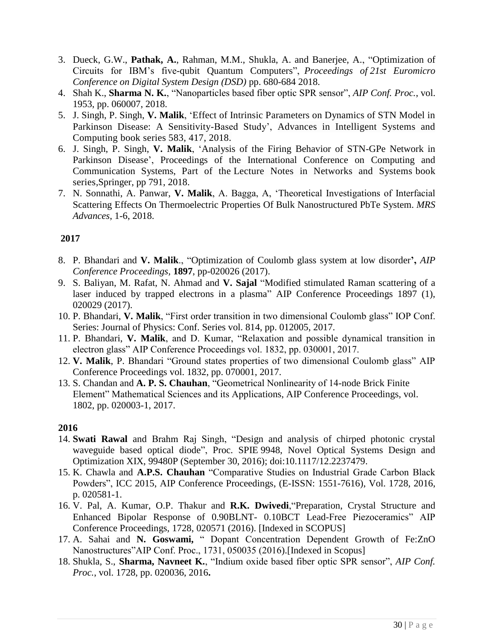- 3. Dueck, G.W., **Pathak, A.**, Rahman, M.M., Shukla, A. and Banerjee, A., "Optimization of Circuits for IBM"s five-qubit Quantum Computers", *Proceedings of 21st Euromicro Conference on Digital System Design (DSD)* pp. 680-684 2018.
- 4. Shah K., **Sharma N. K.**, "Nanoparticles based fiber optic SPR sensor", *AIP Conf. Proc.*, vol. 1953, pp. 060007, 2018.
- 5. J. Singh, P. Singh, **V. Malik**, "Effect of Intrinsic Parameters on Dynamics of STN Model in Parkinson Disease: A Sensitivity-Based Study", [Advances in Intelligent Systems and](https://link.springer.com/bookseries/11156)  [Computing](https://link.springer.com/bookseries/11156) book series 583, 417, 2018.
- 6. J. Singh, P. Singh, **V. Malik**, ["Analysis of the Firing Behavior of STN-GPe Network in](https://link.springer.com/chapter/10.1007/978-981-10-6890-4_75)  Parkinson Disease', Proceedings of the International Conference on Computing and Communication Systems, Part of the [Lecture Notes in Networks and Systems](https://link.springer.com/bookseries/15179) book series,Springer, pp 791, 2018.
- 7. N. Sonnathi, A. Panwar, **V. Malik**, A. Bagga, A, "Theoretical Investigations of Interfacial Scattering Effects On Thermoelectric Properties Of Bulk Nanostructured PbTe System. *MRS Advances*, 1-6, 2018.

- 8. P. Bhandari and **V. Malik**., "Optimization of Coulomb glass system at low disorder**',** *AIP Conference Proceedings,* **1897**, pp-020026 (2017).
- 9. S. Baliyan, M. Rafat, N. Ahmad and **V. Sajal** ["Modified stimulated Raman scattering of a](javascript:void(0))  [laser induced by trapped electrons in a plasma"](javascript:void(0)) AIP Conference Proceedings 1897 (1), 020029 (2017).
- 10. P. Bhandari, **V. Malik**, "First order transition in two dimensional Coulomb glass" IOP Conf. Series: Journal of Physics: Conf. Series vol. 814, pp. 012005, 2017.
- 11. P. Bhandari, **V. Malik**, and D. Kumar, "Relaxation and possible dynamical transition in electron glass" AIP Conference Proceedings vol. 1832, pp. 030001, 2017.
- 12. **V. Malik**, P. Bhandari "Ground states properties of two dimensional Coulomb glass" AIP Conference Proceedings vol. 1832, pp. 070001, 2017.
- 13. S. Chandan and **A. P. S. Chauhan**, "Geometrical Nonlinearity of 14-node Brick Finite Element" Mathematical Sciences and its Applications, AIP Conference Proceedings, vol. 1802, pp. 020003-1, 2017.

- 14. **Swati Rawal** and Brahm Raj Singh, "Design and analysis of chirped photonic crystal waveguide based optical diode", Proc. SPIE 9948, Novel Optical Systems Design and Optimization XIX, 99480P (September 30, 2016); doi:10.1117/12.2237479.
- 15. K. Chawla and **A.P.S. Chauhan** "Comparative Studies on Industrial Grade Carbon Black Powders", ICC 2015, AIP Conference Proceedings, (E-ISSN: 1551-7616), Vol. 1728, 2016, p. 020581-1.
- 16. V. Pal, A. Kumar, O.P. Thakur and **R.K. Dwivedi**,"Preparation, Crystal Structure and Enhanced Bipolar Response of 0.90BLNT- 0.10BCT Lead-Free Piezoceramics" AIP Conference Proceedings, 1728, 020571 (2016). [Indexed in SCOPUS]
- 17. A. Sahai and **N. Goswami,** " Dopant Concentration Dependent Growth of Fe:ZnO Nanostructures"AIP Conf. Proc., 1731, 050035 (2016).[Indexed in Scopus]
- 18. Shukla, S., **Sharma, Navneet K.**, "Indium oxide based fiber optic SPR sensor", *AIP Conf. Proc.*, vol. 1728, pp. 020036, 2016**.**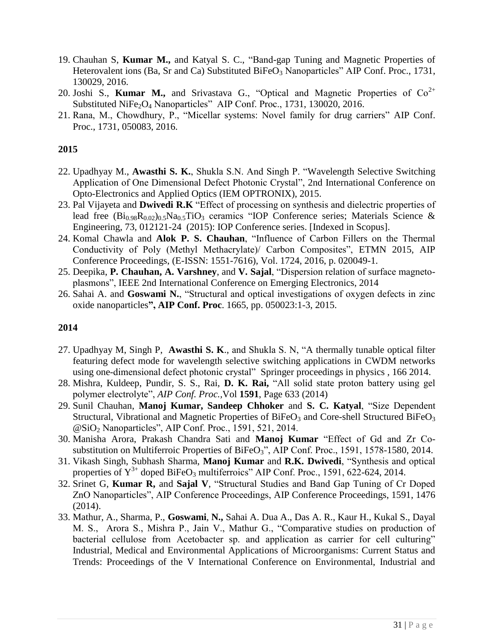- 19. Chauhan S, **Kumar M.,** and Katyal S. C., "Band-gap Tuning and Magnetic Properties of Heterovalent ions (Ba, Sr and Ca) Substituted BiFeO<sub>3</sub> Nanoparticles" AIP Conf. Proc., 1731, 130029, 2016.
- 20. Joshi S., **Kumar M.,** and Srivastava G., "Optical and Magnetic Properties of  $Co^{2+}$ Substituted NiFe<sub>2</sub>O<sub>4</sub> Nanoparticles" AIP Conf. Proc., 1731, 130020, 2016.
- 21. Rana, M., Chowdhury, P., "Micellar systems: Novel family for drug carriers" AIP Conf. Proc., 1731, 050083, 2016.

- 22. Upadhyay M., **Awasthi S. K.**, Shukla S.N. And Singh P. "Wavelength Selective Switching Application of One Dimensional Defect Photonic Crystal", 2nd International Conference on Opto-Electronics and Applied Optics (IEM OPTRONIX), 2015.
- 23. Pal Vijayeta and **Dwivedi R.K** "Effect of processing on synthesis and dielectric properties of lead free  $(Bi_{0.98}R_{0.02})_{0.5}Na_{0.5}TiO<sub>3</sub>$  ceramics "IOP Conference series; Materials Science & Engineering, 73, 012121-24 (2015): IOP Conference series. [Indexed in Scopus].
- 24. Komal Chawla and **Alok P. S. Chauhan**, "Influence of Carbon Fillers on the Thermal Conductivity of Poly (Methyl Methacrylate)/ Carbon Composites", ETMN 2015, AIP Conference Proceedings, (E-ISSN: 1551-7616), Vol. 1724, 2016, p. 020049-1.
- 25. Deepika, **P. Chauhan, A. Varshney**, and **V. Sajal**, "Dispersion relation of surface magnetoplasmons", IEEE 2nd International Conference on Emerging Electronics, 2014
- 26. Sahai A. and **Goswami N.**, "Structural and optical investigations of oxygen defects in zinc oxide nanoparticles**", AIP Conf. Proc**. 1665, pp. 050023:1-3, 2015.

- 27. Upadhyay M, Singh P, **Awasthi S. K**., and Shukla S. N, "A thermally tunable optical filter featuring defect mode for wavelength selective switching applications in CWDM networks using one-dimensional defect photonic crystal" [Springer proceedings in physics](https://cds.cern.ch/search?f=490__a&p=Springer%20proceedings%20in%20physics) , 166 2014.
- 28. Mishra, Kuldeep, Pundir, S. S., Rai, **D. K. Rai,** "All solid state proton battery using gel polymer electrolyte", *AIP Conf. Proc.,*Vol **1591**, Page 633 (2014)
- 29. Sunil Chauhan, **Manoj Kumar, Sandeep Chhoker** and **S. C. Katyal**, "Size Dependent Structural, Vibrational and Magnetic Properties of BiFeO<sub>3</sub> and Core-shell Structured BiFeO<sub>3</sub>  $\omega$ SiO<sub>2</sub> Nanoparticles", AIP Conf. Proc., 1591, 521, 2014.
- 30. Manisha Arora, Prakash Chandra Sati and **Manoj Kumar** "Effect of Gd and Zr Cosubstitution on Multiferroic Properties of BiFeO<sub>3</sub>", AIP Conf. Proc., 1591, 1578-1580, 2014.
- 31. Vikash Singh, Subhash Sharma, **Manoj Kumar** and **R.K. Dwivedi**, "Synthesis and optical properties of  $Y^{3+}$  doped BiFeO<sub>3</sub> multiferroics" AIP Conf. Proc., 1591, 622-624, 2014.
- 32. Srinet G, **Kumar R,** and **Sajal V**, "Structural Studies and Band Gap Tuning of Cr Doped ZnO Nanoparticles", AIP Conference Proceedings, AIP Conference Proceedings, 1591, 1476 (2014).
- 33. Mathur, A., Sharma, P., **Goswami**, **N.,** Sahai A. Dua A., Das A. R., Kaur H., Kukal S., Dayal M. S., Arora S., Mishra P., Jain V., Mathur G., "Comparative studies on production of bacterial cellulose from Acetobacter sp. and application as carrier for cell culturing" Industrial, Medical and Environmental Applications of Microorganisms: Current Status and Trends: Proceedings of the V International Conference on Environmental, Industrial and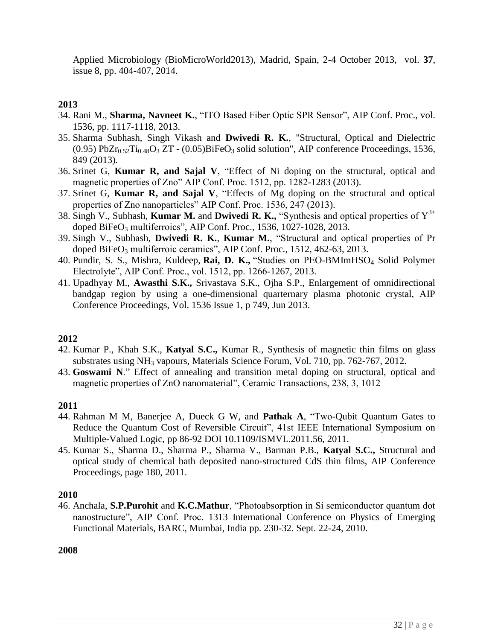Applied Microbiology (BioMicroWorld2013), Madrid, Spain, 2-4 October 2013, vol. **37**, issue 8, pp. 404-407, 2014.

### **2013**

- 34. Rani M., **Sharma, Navneet K.**, "ITO Based Fiber Optic SPR Sensor", AIP Conf. Proc., vol. 1536, pp. 1117-1118, 2013.
- 35. Sharma Subhash, Singh Vikash and **Dwivedi R. K.**, "Structural, Optical and Dielectric (0.95) PbZ $r_{0.52}$ Ti<sub>0.48</sub>O<sub>3</sub> ZT - (0.05)BiFeO<sub>3</sub> solid solution", AIP conference Proceedings, 1536, 849 (2013).
- 36. Srinet G, **Kumar R, and Sajal V**, "Effect of Ni doping on the structural, optical and magnetic properties of Zno" AIP Conf. Proc. 1512, pp. 1282-1283 (2013).
- 37. Srinet G, **Kumar R, and Sajal V**, "Effects of Mg doping on the structural and optical properties of Zno nanoparticles" AIP Conf. Proc. 1536, 247 (2013).
- 38. Singh V., Subhash, **Kumar M.** and **Dwivedi R. K.,** "Synthesis and optical properties of  $Y^{3+}$ doped BiFe $O_3$  multiferroics", AIP Conf. Proc., 1536, 1027-1028, 2013.
- 39. Singh V., Subhash, **Dwivedi R. K.**, **Kumar M.**, "Structural and optical properties of Pr doped BiFeO<sub>3</sub> multiferroic ceramics", AIP Conf. Proc., 1512, 462-63, 2013.
- 40. Pundir, S. S., Mishra, Kuldeep, Rai, D. K., "Studies on PEO-BMImHSO<sub>4</sub> Solid Polymer Electrolyte", AIP Conf. Proc., vol. 1512, pp. 1266-1267, 2013.
- 41. Upadhyay M., **Awasthi S.K.,** Srivastava S.K., Ojha S.P., Enlargement of omnidirectional bandgap region by using a one-dimensional quarternary plasma photonic crystal, AIP Conference Proceedings, Vol. 1536 Issue 1, p 749, Jun 2013.

### **2012**

- 42. Kumar P., Khah S.K., **Katyal S.C.,** Kumar R., Synthesis of magnetic thin films on glass substrates using  $NH_3$  vapours, Materials Science Forum, Vol. 710, pp. 762-767, 2012.
- 43. **Goswami N**." Effect of annealing and transition metal doping on structural, optical and magnetic properties of ZnO nanomaterial", Ceramic Transactions, 238, 3, 1012

### **2011**

- 44. Rahman M M, Banerjee A, Dueck G W, and **Pathak A**, "Two-Qubit Quantum Gates to Reduce the Quantum Cost of Reversible Circuit", 41st IEEE International Symposium on Multiple-Valued Logic, pp 86-92 DOI 10.1109/ISMVL.2011.56, 2011.
- 45. Kumar S., Sharma D., Sharma P., Sharma V., Barman P.B., **Katyal S.C.,** Structural and optical study of chemical bath deposited nano-structured CdS thin films, AIP Conference Proceedings, page 180, 2011.

### **2010**

46. Anchala, **S.P.Purohit** and **K.C.Mathur**, "Photoabsorption in Si semiconductor quantum dot nanostructure", AIP Conf. Proc. 1313 International Conference on Physics of Emerging Functional Materials, BARC, Mumbai, India pp. 230-32. Sept. 22-24, 2010.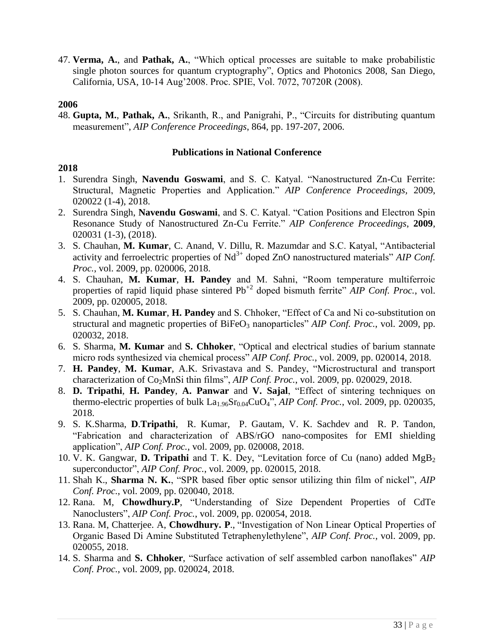47. **Verma, A.**, and **Pathak, A.**, "Which optical processes are suitable to make probabilistic single photon sources for quantum cryptography", Optics and Photonics 2008, San Diego, California, USA, 10-14 Aug'2008. Proc. SPIE, Vol. 7072, 70720R (2008).

#### **2006**

48. **Gupta, M.**, **Pathak, A.**, Srikanth, R., and Panigrahi, P., "Circuits for distributing quantum measurement", *AIP Conference Proceedings*, 864, pp. 197-207, 2006.

#### **Publications in National Conference**

- 1. Surendra Singh, **Navendu Goswami**, and S. C. Katyal. "Nanostructured Zn-Cu Ferrite: Structural, Magnetic Properties and Application." *AIP Conference Proceedings,* 2009, 020022 (1-4), 2018.
- 2. Surendra Singh, **Navendu Goswami**, and S. C. Katyal. "Cation Positions and Electron Spin Resonance Study of Nanostructured Zn-Cu Ferrite." *AIP Conference Proceedings*, **2009**, 020031 (1-3), (2018).
- 3. S. Chauhan, **M. Kumar**, C. Anand, V. Dillu, R. Mazumdar and S.C. Katyal, "Antibacterial activity and ferroelectric properties of Nd<sup>3+</sup> doped ZnO nanostructured materials" *AIP Conf. Proc.*, vol. 2009, pp. 020006, 2018.
- 4. S. Chauhan, **M. Kumar**, **H. Pandey** and M. Sahni, "Room temperature multiferroic properties of rapid liquid phase sintered Pb<sup>+2</sup> doped bismuth ferrite" *AIP Conf. Proc.*, vol. 2009, pp. 020005, 2018.
- 5. S. Chauhan, **M. Kumar**, **H. Pandey** and S. Chhoker, "Effect of Ca and Ni co-substitution on structural and magnetic properties of BiFeO<sub>3</sub> nanoparticles" *AIP Conf. Proc.*, vol. 2009, pp. 020032, 2018.
- 6. S. Sharma, **M. Kumar** and **S. Chhoker**, "Optical and electrical studies of barium stannate micro rods synthesized via chemical process" *AIP Conf. Proc.*, vol. 2009, pp. 020014, 2018.
- 7. **H. Pandey**, **M. Kumar**, A.K. Srivastava and S. Pandey, "Microstructural and transport characterization of Co2MnSi thin films", *AIP Conf. Proc.*, vol. 2009, pp. 020029, 2018.
- 8. **D. Tripathi**, **H. Pandey**, **A. Panwar** and **V. Sajal**, "Effect of sintering techniques on thermo-electric properties of bulk  $La<sub>1.96</sub>Sr<sub>0.04</sub>CuO<sub>4</sub><sup>2</sup>$ , *AIP Conf. Proc.*, vol. 2009, pp. 020035, 2018.
- 9. S. K[.Sharma,](https://aip.scitation.org/author/Sharma%2C+S+K) **D**.**Tripathi**, [R. Kumar,](https://aip.scitation.org/author/Kumar%2C+R) [P. Gautam,](https://aip.scitation.org/author/Gautam%2C+P) V. K. [Sachdev](https://aip.scitation.org/author/Sachdev%2C+V+K) and [R. P. Tandon,](https://aip.scitation.org/author/Tandon%2C+R+P) "Fabrication and characterization of ABS/rGO nano-composites for EMI shielding application", *AIP Conf. Proc.*, vol. 2009, pp. 020008, 2018.
- 10. V. K. Gangwar, **D. Tripathi** and T. K. Dey, ["Levitation force of Cu \(nano\) added MgB](javascript:void(0))<sub>2</sub> [superconductor"](javascript:void(0)), *AIP Conf. Proc.*, vol. 2009, pp. 020015, 2018.
- 11. Shah K., **Sharma N. K.**, "SPR based fiber optic sensor utilizing thin film of nickel", *AIP Conf. Proc.*, vol. 2009, pp. 020040, 2018.
- 12. Rana. M, **Chowdhury.P**, "Understanding of Size Dependent Properties of CdTe Nanoclusters", *AIP Conf. Proc.*, vol. 2009, pp. 020054, 2018.
- 13. Rana. M, Chatterjee. A, **Chowdhury. P**., "Investigation of Non Linear Optical Properties of Organic Based Di Amine Substituted Tetraphenylethylene", *AIP Conf. Proc.*, vol. 2009, pp. 020055, 2018.
- 14. S. Sharma and **S. Chhoker**, "Surface activation of self assembled carbon nanoflakes" *AIP Conf. Proc.*, vol. 2009, pp. 020024, 2018.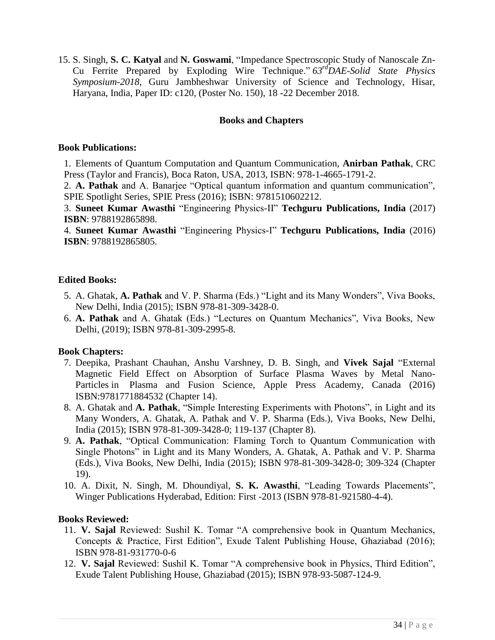15. S. Singh, **S. C. Katyal** and **N. Goswami**, "Impedance Spectroscopic Study of Nanoscale Zn-Cu Ferrite Prepared by Exploding Wire Technique." *63rdDAE-Solid State Physics Symposium-2018*, Guru Jambheshwar University of Science and Technology, Hisar, Haryana, India, Paper ID: c120, (Poster No. 150), 18 -22 December 2018.

#### **Books and Chapters**

#### **Book Publications:**

1. Elements of Quantum Computation and Quantum Communication, **Anirban Pathak**, CRC Press (Taylor and Francis), Boca Raton, USA, 2013, ISBN: 978-1-4665-1791-2.

2. **A. Pathak** and A. Banarjee "Optical quantum information and quantum communication", SPIE Spotlight Series, SPIE Press (2016); ISBN: 9781510602212.

3. **Suneet Kumar Awasthi** "Engineering Physics-II" **Techguru Publications, India** (2017) **ISBN**: 9788192865898.

4. **Suneet Kumar Awasthi** "Engineering Physics-I" **Techguru Publications, India** (2016) **ISBN**: 9788192865805.

### **Edited Books:**

- 5. A. Ghatak, **A. Pathak** and V. P. Sharma (Eds.) "Light and its Many Wonders", Viva Books, New Delhi, India (2015); ISBN 978-81-309-3428-0.
- 6. **A. Pathak** and A. Ghatak (Eds.) "Lectures on Quantum Mechanics", Viva Books, New Delhi, (2019); ISBN 978-81-309-2995-8.

### **Book Chapters:**

- 7. Deepika, Prashant Chauhan, Anshu Varshney, D. B. Singh, and **Vivek Sajal** "External Magnetic Field Effect on Absorption of Surface Plasma Waves by Metal Nano-Particles in Plasma and Fusion Science, Apple Press Academy, Canada (2016) ISBN:9781771884532 (Chapter 14).
- 8. A. Ghatak and **A. Pathak**, "Simple Interesting Experiments with Photons", in Light and its Many Wonders, A. Ghatak, A. Pathak and V. P. Sharma (Eds.), Viva Books, New Delhi, India (2015); ISBN 978-81-309-3428-0; 119-137 (Chapter 8).
- 9. **A. Pathak**, "Optical Communication: Flaming Torch to Quantum Communication with Single Photons" in Light and its Many Wonders, A. Ghatak, A. Pathak and V. P. Sharma (Eds.), Viva Books, New Delhi, India (2015); ISBN 978-81-309-3428-0; 309-324 (Chapter 19).
- 10. A. Dixit, N. Singh, M. Dhoundiyal, **S. K. Awasthi**, "Leading Towards Placements", Winger Publications Hyderabad, Edition: First -2013 (ISBN 978-81-921580-4-4).

### **Books Reviewed:**

- 11. **V. Sajal** Reviewed: Sushil K. Tomar "A comprehensive book in Quantum Mechanics, Concepts & Practice, First Edition", Exude Talent Publishing House, Ghaziabad (2016); ISBN 978-81-931770-0-6
- 12. **V. Sajal** Reviewed: Sushil K. Tomar "A comprehensive book in Physics, Third Edition", Exude Talent Publishing House, Ghaziabad (2015); ISBN 978-93-5087-124-9.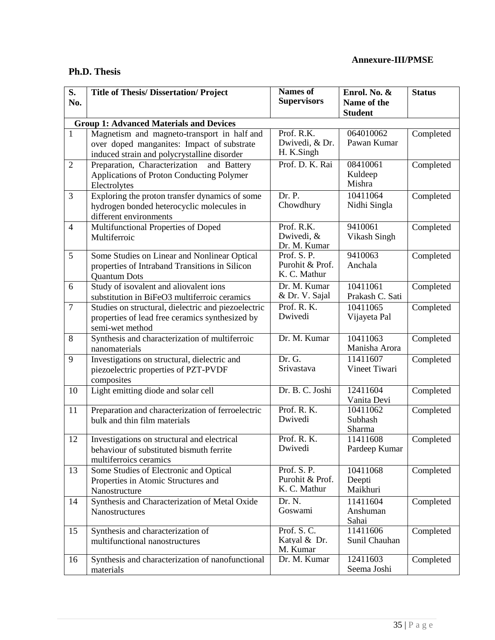## **Ph.D. Thesis**

| S.                                             | <b>Title of Thesis/Dissertation/Project</b>                   | <b>Names of</b>                 | Enrol. No. &                  | <b>Status</b> |  |  |
|------------------------------------------------|---------------------------------------------------------------|---------------------------------|-------------------------------|---------------|--|--|
| No.                                            |                                                               | <b>Supervisors</b>              | Name of the<br><b>Student</b> |               |  |  |
| <b>Group 1: Advanced Materials and Devices</b> |                                                               |                                 |                               |               |  |  |
| $\mathbf{1}$                                   | Magnetism and magneto-transport in half and                   | Prof. R.K.                      | 064010062                     | Completed     |  |  |
|                                                | over doped manganites: Impact of substrate                    | Dwivedi, & Dr.                  | Pawan Kumar                   |               |  |  |
|                                                | induced strain and polycrystalline disorder                   | H. K.Singh                      |                               |               |  |  |
| $\overline{2}$                                 | Preparation, Characterization and Battery                     | Prof. D. K. Rai                 | 08410061<br>Kuldeep           | Completed     |  |  |
|                                                | Applications of Proton Conducting Polymer<br>Electrolytes     |                                 | Mishra                        |               |  |  |
| 3                                              | Exploring the proton transfer dynamics of some                | Dr. P.                          | 10411064                      | Completed     |  |  |
|                                                | hydrogen bonded heterocyclic molecules in                     | Chowdhury                       | Nidhi Singla                  |               |  |  |
| $\overline{4}$                                 | different environments                                        | Prof. R.K.                      | 9410061                       |               |  |  |
|                                                | Multifunctional Properties of Doped<br>Multiferroic           | Dwivedi, &                      | Vikash Singh                  | Completed     |  |  |
|                                                |                                                               | Dr. M. Kumar                    |                               |               |  |  |
| 5                                              | Some Studies on Linear and Nonlinear Optical                  | Prof. S.P.                      | 9410063                       | Completed     |  |  |
|                                                | properties of Intraband Transitions in Silicon                | Purohit & Prof.<br>K. C. Mathur | Anchala                       |               |  |  |
| 6                                              | <b>Quantum Dots</b><br>Study of isovalent and aliovalent ions | Dr. M. Kumar                    | 10411061                      | Completed     |  |  |
|                                                | substitution in BiFeO3 multiferroic ceramics                  | & Dr. V. Sajal                  | Prakash C. Sati               |               |  |  |
| $\overline{7}$                                 | Studies on structural, dielectric and piezoelectric           | Prof. R. K.                     | 10411065                      | Completed     |  |  |
|                                                | properties of lead free ceramics synthesized by               | Dwivedi                         | Vijayeta Pal                  |               |  |  |
|                                                | semi-wet method                                               |                                 |                               |               |  |  |
| 8                                              | Synthesis and characterization of multiferroic                | Dr. M. Kumar                    | 10411063<br>Manisha Arora     | Completed     |  |  |
| 9                                              | nanomaterials<br>Investigations on structural, dielectric and | Dr. G.                          | 11411607                      | Completed     |  |  |
|                                                | piezoelectric properties of PZT-PVDF                          | Srivastava                      | Vineet Tiwari                 |               |  |  |
|                                                | composites                                                    |                                 |                               |               |  |  |
| 10                                             | Light emitting diode and solar cell                           | Dr. B. C. Joshi                 | 12411604                      | Completed     |  |  |
|                                                |                                                               |                                 | Vanita Devi                   |               |  |  |
| 11                                             | Preparation and characterization of ferroelectric             | Prof. R. K.<br>Dwivedi          | 10411062<br>Subhash           | Completed     |  |  |
|                                                | bulk and thin film materials                                  |                                 | Sharma                        |               |  |  |
| 12                                             | Investigations on structural and electrical                   | Prof. R. K.                     | 11411608                      | Completed     |  |  |
|                                                | behaviour of substituted bismuth ferrite                      | Dwivedi                         | Pardeep Kumar                 |               |  |  |
|                                                | multiferroics ceramics                                        |                                 |                               |               |  |  |
| 13                                             | Some Studies of Electronic and Optical                        | Prof. S.P.<br>Purohit & Prof.   | 10411068<br>Deepti            | Completed     |  |  |
|                                                | Properties in Atomic Structures and<br>Nanostructure          | K. C. Mathur                    | Maikhuri                      |               |  |  |
| 14                                             | Synthesis and Characterization of Metal Oxide                 | Dr. N.                          | 11411604                      | Completed     |  |  |
|                                                | Nanostructures                                                | Goswami                         | Anshuman                      |               |  |  |
|                                                |                                                               |                                 | Sahai                         |               |  |  |
| 15                                             | Synthesis and characterization of                             | Prof. S.C.                      | 11411606                      | Completed     |  |  |
|                                                | multifunctional nanostructures                                | Katyal & Dr.<br>M. Kumar        | Sunil Chauhan                 |               |  |  |
| 16                                             | Synthesis and characterization of nanofunctional              | Dr. M. Kumar                    | 12411603                      | Completed     |  |  |
|                                                | materials                                                     |                                 | Seema Joshi                   |               |  |  |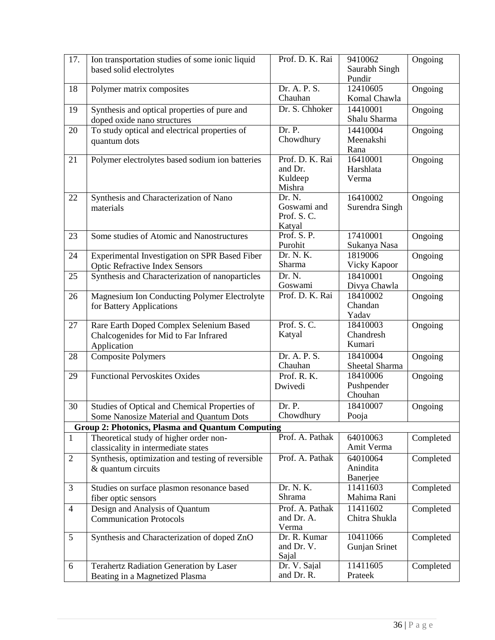| 17.            | Ion transportation studies of some ionic liquid<br>based solid electrolytes                     | Prof. D. K. Rai                                 | 9410062<br>Saurabh Singh<br>Pundir | Ongoing   |
|----------------|-------------------------------------------------------------------------------------------------|-------------------------------------------------|------------------------------------|-----------|
| 18             | Polymer matrix composites                                                                       | Dr. A. P. S.<br>Chauhan                         | 12410605<br>Komal Chawla           | Ongoing   |
| 19             | Synthesis and optical properties of pure and<br>doped oxide nano structures                     | Dr. S. Chhoker                                  | 14410001<br>Shalu Sharma           | Ongoing   |
| 20             | To study optical and electrical properties of<br>quantum dots                                   | Dr. P.<br>Chowdhury                             | 14410004<br>Meenakshi<br>Rana      | Ongoing   |
| 21             | Polymer electrolytes based sodium ion batteries                                                 | Prof. D. K. Rai<br>and Dr.<br>Kuldeep<br>Mishra | 16410001<br>Harshlata<br>Verma     | Ongoing   |
| 22             | Synthesis and Characterization of Nano<br>materials                                             | Dr. N.<br>Goswami and<br>Prof. S.C.<br>Katyal   | 16410002<br>Surendra Singh         | Ongoing   |
| 23             | Some studies of Atomic and Nanostructures                                                       | Prof. S. P.<br>Purohit                          | 17410001<br>Sukanya Nasa           | Ongoing   |
| 24             | Experimental Investigation on SPR Based Fiber<br><b>Optic Refractive Index Sensors</b>          | Dr. N. K.<br>Sharma                             | 1819006<br>Vicky Kapoor            | Ongoing   |
| 25             | Synthesis and Characterization of nanoparticles                                                 | Dr. N.<br>Goswami                               | 18410001<br>Divya Chawla           | Ongoing   |
| 26             | Magnesium Ion Conducting Polymer Electrolyte<br>for Battery Applications                        | Prof. D. K. Rai                                 | 18410002<br>Chandan<br>Yadav       | Ongoing   |
| 27             | Rare Earth Doped Complex Selenium Based<br>Chalcogenides for Mid to Far Infrared<br>Application | Prof. S.C.<br>Katyal                            | 18410003<br>Chandresh<br>Kumari    | Ongoing   |
| 28             | <b>Composite Polymers</b>                                                                       | Dr. A. P. S.<br>Chauhan                         | 18410004<br>Sheetal Sharma         | Ongoing   |
| 29             | <b>Functional Pervoskites Oxides</b>                                                            | Prof. R. K.<br>Dwivedi                          | 18410006<br>Pushpender<br>Chouhan  | Ongoing   |
| 30             | Studies of Optical and Chemical Properties of<br>Some Nanosize Material and Quantum Dots        | Dr. P.<br>Chowdhury                             | 18410007<br>Pooja                  | Ongoing   |
|                | <b>Group 2: Photonics, Plasma and Quantum Computing</b>                                         |                                                 |                                    |           |
| $\mathbf{1}$   | Theoretical study of higher order non-<br>classicality in intermediate states                   | Prof. A. Pathak                                 | 64010063<br>Amit Verma             | Completed |
| $\overline{2}$ | Synthesis, optimization and testing of reversible<br>& quantum circuits                         | Prof. A. Pathak                                 | 64010064<br>Anindita<br>Banerjee   | Completed |
| 3              | Studies on surface plasmon resonance based<br>fiber optic sensors                               | Dr. N. K.<br>Shrama                             | 11411603<br>Mahima Rani            | Completed |
| $\overline{4}$ | Design and Analysis of Quantum<br><b>Communication Protocols</b>                                | Prof. A. Pathak<br>and Dr. A.<br>Verma          | 11411602<br>Chitra Shukla          | Completed |
| 5              | Synthesis and Characterization of doped ZnO                                                     | Dr. R. Kumar<br>and Dr. V.<br>Sajal             | 10411066<br>Gunjan Srinet          | Completed |
| 6              | Terahertz Radiation Generation by Laser<br>Beating in a Magnetized Plasma                       | Dr. V. Sajal<br>and Dr. R.                      | 11411605<br>Prateek                | Completed |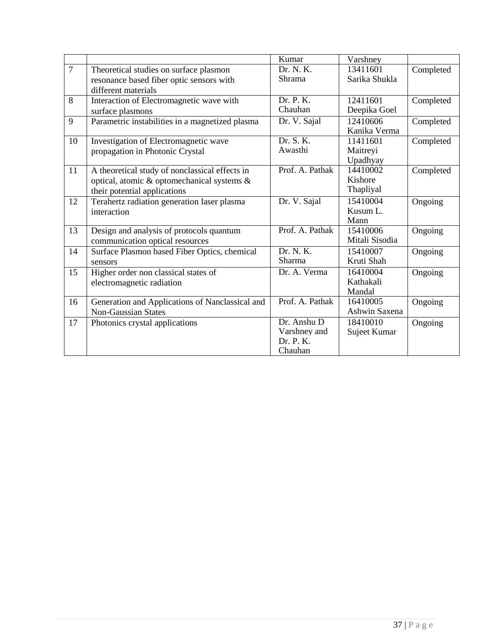|                |                                                 | Kumar           | Varshney       |           |
|----------------|-------------------------------------------------|-----------------|----------------|-----------|
| $\overline{7}$ | Theoretical studies on surface plasmon          | Dr. N. K.       | 13411601       | Completed |
|                | resonance based fiber optic sensors with        | Shrama          | Sarika Shukla  |           |
|                | different materials                             |                 |                |           |
| 8              | Interaction of Electromagnetic wave with        | Dr. P. K.       | 12411601       | Completed |
|                | surface plasmons                                | Chauhan         | Deepika Goel   |           |
| 9              | Parametric instabilities in a magnetized plasma | Dr. V. Sajal    | 12410606       | Completed |
|                |                                                 |                 | Kanika Verma   |           |
| 10             | Investigation of Electromagnetic wave           | Dr. S. K.       | 11411601       | Completed |
|                | propagation in Photonic Crystal                 | Awasthi         | Maitreyi       |           |
|                |                                                 |                 | Upadhyay       |           |
| 11             | A theoretical study of nonclassical effects in  | Prof. A. Pathak | 14410002       | Completed |
|                | optical, atomic & optomechanical systems &      |                 | Kishore        |           |
|                | their potential applications                    |                 | Thapliyal      |           |
| 12             | Terahertz radiation generation laser plasma     | Dr. V. Sajal    | 15410004       | Ongoing   |
|                | interaction                                     |                 | Kusum L.       |           |
|                |                                                 |                 | Mann           |           |
| 13             | Design and analysis of protocols quantum        | Prof. A. Pathak | 15410006       | Ongoing   |
|                | communication optical resources                 |                 | Mitali Sisodia |           |
| 14             | Surface Plasmon based Fiber Optics, chemical    | Dr. N. K.       | 15410007       | Ongoing   |
|                | sensors                                         | Sharma          | Kruti Shah     |           |
| 15             | Higher order non classical states of            | Dr. A. Verma    | 16410004       | Ongoing   |
|                | electromagnetic radiation                       |                 | Kathakali      |           |
|                |                                                 |                 | Mandal         |           |
| 16             | Generation and Applications of Nanclassical and | Prof. A. Pathak | 16410005       | Ongoing   |
|                | <b>Non-Gaussian States</b>                      |                 | Ashwin Saxena  |           |
| 17             | Photonics crystal applications                  | Dr. Anshu D     | 18410010       | Ongoing   |
|                |                                                 | Varshney and    | Sujeet Kumar   |           |
|                |                                                 | Dr. P. K.       |                |           |
|                |                                                 | Chauhan         |                |           |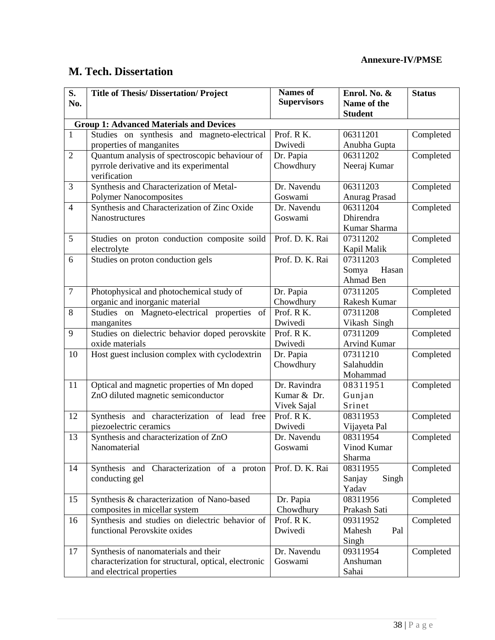## **M. Tech. Dissertation**

| S.                                             | <b>Title of Thesis/ Dissertation/ Project</b>        | <b>Names of</b>    | Enrol. No. &         | <b>Status</b> |  |  |
|------------------------------------------------|------------------------------------------------------|--------------------|----------------------|---------------|--|--|
| No.                                            |                                                      | <b>Supervisors</b> | Name of the          |               |  |  |
|                                                |                                                      |                    | <b>Student</b>       |               |  |  |
| <b>Group 1: Advanced Materials and Devices</b> |                                                      |                    |                      |               |  |  |
| $\mathbf{1}$                                   | Studies on synthesis and magneto-electrical          | Prof. RK.          | 06311201             | Completed     |  |  |
|                                                | properties of manganites                             | Dwivedi            | Anubha Gupta         |               |  |  |
| $\overline{2}$                                 | Quantum analysis of spectroscopic behaviour of       | Dr. Papia          | 06311202             | Completed     |  |  |
|                                                | pyrrole derivative and its experimental              | Chowdhury          | Neeraj Kumar         |               |  |  |
|                                                | verification                                         |                    |                      |               |  |  |
| 3                                              | Synthesis and Characterization of Metal-             | Dr. Navendu        | 06311203             | Completed     |  |  |
|                                                | <b>Polymer Nanocomposites</b>                        | Goswami            | <b>Anurag Prasad</b> |               |  |  |
| $\overline{4}$                                 | Synthesis and Characterization of Zinc Oxide         | Dr. Navendu        | 06311204             | Completed     |  |  |
|                                                | Nanostructures                                       | Goswami            | Dhirendra            |               |  |  |
|                                                |                                                      |                    | Kumar Sharma         |               |  |  |
| 5                                              | Studies on proton conduction composite soild         | Prof. D. K. Rai    | 07311202             | Completed     |  |  |
|                                                | electrolyte                                          |                    | Kapil Malik          |               |  |  |
| 6                                              | Studies on proton conduction gels                    | Prof. D. K. Rai    | 07311203             | Completed     |  |  |
|                                                |                                                      |                    | Somya<br>Hasan       |               |  |  |
|                                                |                                                      |                    | Ahmad Ben            |               |  |  |
| $\overline{7}$                                 | Photophysical and photochemical study of             | Dr. Papia          | 07311205             | Completed     |  |  |
|                                                | organic and inorganic material                       | Chowdhury          | Rakesh Kumar         |               |  |  |
| 8                                              | Studies on Magneto-electrical properties<br>of       | Prof. RK.          | 07311208             | Completed     |  |  |
|                                                | manganites                                           | Dwivedi            | Vikash Singh         |               |  |  |
| 9                                              | Studies on dielectric behavior doped perovskite      | Prof. RK.          | 07311209             | Completed     |  |  |
|                                                | oxide materials                                      | Dwivedi            | <b>Arvind Kumar</b>  |               |  |  |
| 10                                             | Host guest inclusion complex with cyclodextrin       | Dr. Papia          | 07311210             | Completed     |  |  |
|                                                |                                                      | Chowdhury          | Salahuddin           |               |  |  |
|                                                |                                                      |                    | Mohammad             |               |  |  |
| 11                                             | Optical and magnetic properties of Mn doped          | Dr. Ravindra       | 08311951             | Completed     |  |  |
|                                                | ZnO diluted magnetic semiconductor                   | Kumar & Dr.        | Gunjan               |               |  |  |
|                                                |                                                      | Vivek Sajal        | Srinet               |               |  |  |
| 12                                             | Synthesis and characterization of lead free          | Prof. R K.         | 08311953             | Completed     |  |  |
|                                                | piezoelectric ceramics                               | Dwivedi            | Vijayeta Pal         |               |  |  |
| 13                                             | Synthesis and characterization of ZnO                | Dr. Navendu        | 08311954             | Completed     |  |  |
|                                                | Nanomaterial                                         | Goswami            | Vinod Kumar          |               |  |  |
|                                                |                                                      |                    | Sharma               |               |  |  |
| 14                                             | Synthesis and Characterization of a proton           | Prof. D. K. Rai    | 08311955             | Completed     |  |  |
|                                                | conducting gel                                       |                    | Singh<br>Sanjay      |               |  |  |
|                                                |                                                      |                    | Yadav                |               |  |  |
| 15                                             | Synthesis & characterization of Nano-based           | Dr. Papia          | 08311956             | Completed     |  |  |
|                                                | composites in micellar system                        | Chowdhury          | Prakash Sati         |               |  |  |
| 16                                             | Synthesis and studies on dielectric behavior of      | Prof. RK.          | 09311952             | Completed     |  |  |
|                                                | functional Perovskite oxides                         | Dwivedi            | Mahesh<br>Pal        |               |  |  |
|                                                |                                                      |                    | Singh                |               |  |  |
| 17                                             | Synthesis of nanomaterials and their                 | Dr. Navendu        | 09311954             | Completed     |  |  |
|                                                | characterization for structural, optical, electronic | Goswami            | Anshuman             |               |  |  |
|                                                | and electrical properties                            |                    | Sahai                |               |  |  |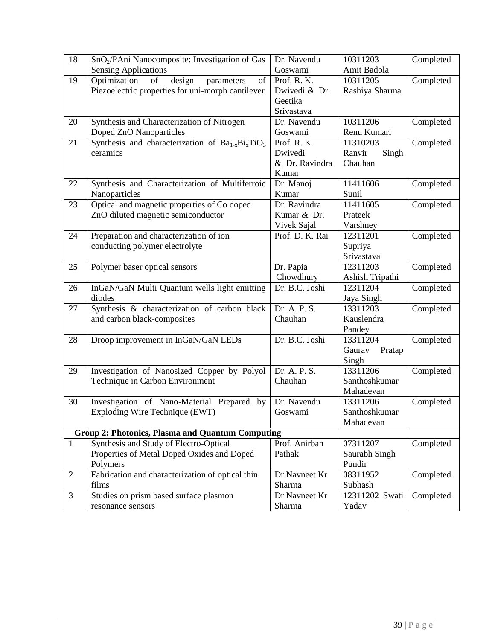| 18             | SnO <sub>2</sub> /PAni Nanocomposite: Investigation of Gas       | Dr. Navendu     | 10311203         | Completed |
|----------------|------------------------------------------------------------------|-----------------|------------------|-----------|
|                | <b>Sensing Applications</b>                                      | Goswami         | Amit Badola      |           |
| 19             | Optimization<br>design<br>of<br>of<br>parameters                 | Prof. R. K.     | 10311205         | Completed |
|                | Piezoelectric properties for uni-morph cantilever                | Dwivedi & Dr.   | Rashiya Sharma   |           |
|                |                                                                  | Geetika         |                  |           |
|                |                                                                  | Srivastava      |                  |           |
| 20             | Synthesis and Characterization of Nitrogen                       | Dr. Navendu     | 10311206         | Completed |
|                | Doped ZnO Nanoparticles                                          | Goswami         | Renu Kumari      |           |
| 21             | Synthesis and characterization of $\overline{Ba_{1-x}Bi_xTiO_3}$ | Prof. R. K.     | 11310203         | Completed |
|                | ceramics                                                         | Dwivedi         | Ranvir<br>Singh  |           |
|                |                                                                  | & Dr. Ravindra  | Chauhan          |           |
|                |                                                                  | Kumar           |                  |           |
| 22             | Synthesis and Characterization of Multiferroic                   | Dr. Manoj       | 11411606         | Completed |
|                | Nanoparticles                                                    | Kumar           | Sunil            |           |
| 23             | Optical and magnetic properties of Co doped                      | Dr. Ravindra    | 11411605         | Completed |
|                | ZnO diluted magnetic semiconductor                               | Kumar & Dr.     | Prateek          |           |
|                |                                                                  | Vivek Sajal     | Varshney         |           |
| 24             | Preparation and characterization of ion                          | Prof. D. K. Rai | 12311201         | Completed |
|                | conducting polymer electrolyte                                   |                 | Supriya          |           |
|                |                                                                  |                 | Srivastava       |           |
| 25             | Polymer baser optical sensors                                    | Dr. Papia       | 12311203         | Completed |
|                |                                                                  | Chowdhury       | Ashish Tripathi  |           |
| 26             | InGaN/GaN Multi Quantum wells light emitting                     | Dr. B.C. Joshi  | 12311204         | Completed |
|                | diodes                                                           |                 | Jaya Singh       |           |
| 27             | Synthesis & characterization of carbon black                     | Dr. A. P. S.    | 13311203         | Completed |
|                | and carbon black-composites                                      | Chauhan         | Kauslendra       |           |
|                |                                                                  |                 | Pandey           |           |
| 28             | Droop improvement in InGaN/GaN LEDs                              | Dr. B.C. Joshi  | 13311204         | Completed |
|                |                                                                  |                 | Gaurav<br>Pratap |           |
|                |                                                                  |                 | Singh            |           |
| 29             | Investigation of Nanosized Copper by Polyol                      | Dr. A. P. S.    | 13311206         | Completed |
|                | Technique in Carbon Environment                                  | Chauhan         | Santhoshkumar    |           |
|                |                                                                  |                 | Mahadevan        |           |
| 30             | Investigation of Nano-Material Prepared by                       | Dr. Navendu     | 13311206         | Completed |
|                | Exploding Wire Technique (EWT)                                   | Goswami         | Santhoshkumar    |           |
|                |                                                                  |                 | Mahadevan        |           |
|                | <b>Group 2: Photonics, Plasma and Quantum Computing</b>          |                 |                  |           |
| $\mathbf{1}$   | Synthesis and Study of Electro-Optical                           | Prof. Anirban   | 07311207         | Completed |
|                | Properties of Metal Doped Oxides and Doped                       | Pathak          | Saurabh Singh    |           |
|                | Polymers                                                         |                 | Pundir           |           |
| $\mathfrak{2}$ | Fabrication and characterization of optical thin                 | Dr Navneet Kr   | 08311952         | Completed |
|                | films                                                            | Sharma          | Subhash          |           |
| 3              | Studies on prism based surface plasmon                           | Dr Navneet Kr   | 12311202 Swati   | Completed |
|                | resonance sensors                                                | Sharma          | Yadav            |           |